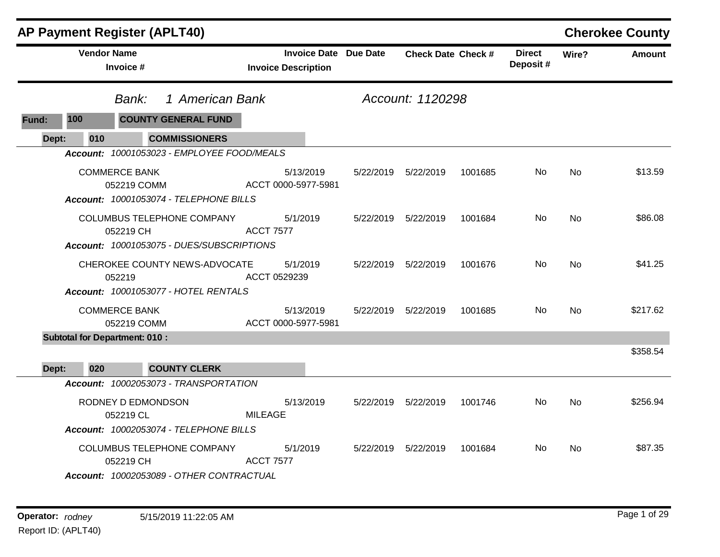|       |                    | <b>AP Payment Register (APLT40)</b>                                                                                         |                                                            |           |                           |         |                           |           | <b>Cherokee County</b> |
|-------|--------------------|-----------------------------------------------------------------------------------------------------------------------------|------------------------------------------------------------|-----------|---------------------------|---------|---------------------------|-----------|------------------------|
|       | <b>Vendor Name</b> | Invoice #                                                                                                                   | <b>Invoice Date Due Date</b><br><b>Invoice Description</b> |           | <b>Check Date Check #</b> |         | <b>Direct</b><br>Deposit# | Wire?     | <b>Amount</b>          |
|       |                    | 1 American Bank<br>Bank:                                                                                                    |                                                            |           | Account: 1120298          |         |                           |           |                        |
| Fund: | 100                | <b>COUNTY GENERAL FUND</b>                                                                                                  |                                                            |           |                           |         |                           |           |                        |
| Dept: | 010                | <b>COMMISSIONERS</b>                                                                                                        |                                                            |           |                           |         |                           |           |                        |
|       |                    | Account: 10001053023 - EMPLOYEE FOOD/MEALS<br><b>COMMERCE BANK</b><br>052219 COMM<br>Account: 10001053074 - TELEPHONE BILLS | 5/13/2019<br>ACCT 0000-5977-5981                           | 5/22/2019 | 5/22/2019                 | 1001685 | No                        | No        | \$13.59                |
|       |                    | COLUMBUS TELEPHONE COMPANY<br>052219 CH<br>Account: 10001053075 - DUES/SUBSCRIPTIONS                                        | 5/1/2019<br><b>ACCT 7577</b>                               |           | 5/22/2019 5/22/2019       | 1001684 | No.                       | No        | \$86.08                |
|       |                    | CHEROKEE COUNTY NEWS-ADVOCATE<br>052219<br>Account: 10001053077 - HOTEL RENTALS                                             | 5/1/2019<br>ACCT 0529239                                   | 5/22/2019 | 5/22/2019                 | 1001676 | No.                       | No        | \$41.25                |
|       |                    | <b>COMMERCE BANK</b><br>052219 COMM                                                                                         | 5/13/2019<br>ACCT 0000-5977-5981                           | 5/22/2019 | 5/22/2019                 | 1001685 | No.                       | <b>No</b> | \$217.62               |
|       |                    | <b>Subtotal for Department: 010:</b>                                                                                        |                                                            |           |                           |         |                           |           |                        |
| Dept: | 020                | <b>COUNTY CLERK</b>                                                                                                         |                                                            |           |                           |         |                           |           | \$358.54               |
|       |                    | Account: 10002053073 - TRANSPORTATION                                                                                       |                                                            |           |                           |         |                           |           |                        |
|       |                    | RODNEY D EDMONDSON<br>052219 CL<br>Account: 10002053074 - TELEPHONE BILLS                                                   | 5/13/2019<br><b>MILEAGE</b>                                | 5/22/2019 | 5/22/2019                 | 1001746 | No.                       | No        | \$256.94               |
|       |                    | <b>COLUMBUS TELEPHONE COMPANY</b><br>052219 CH<br>Account: 10002053089 - OTHER CONTRACTUAL                                  | 5/1/2019<br><b>ACCT 7577</b>                               | 5/22/2019 | 5/22/2019                 | 1001684 | No.                       | No        | \$87.35                |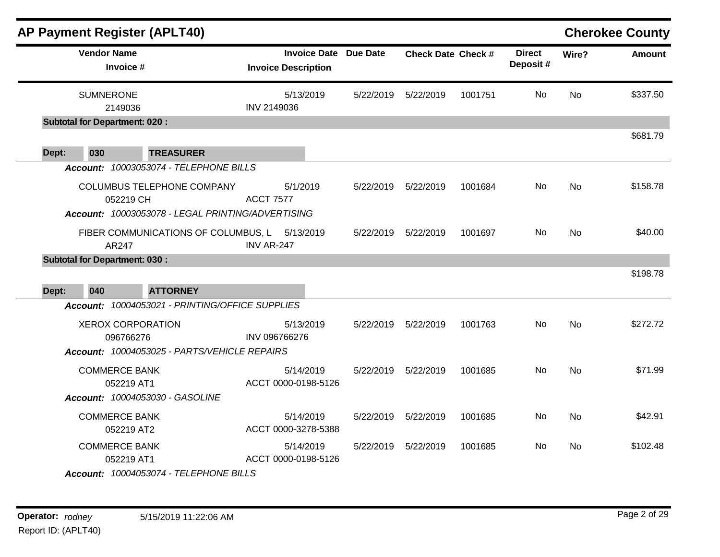|       |                                       | <b>AP Payment Register (APLT40)</b>                                             |                                                            |           |                           |         |                           |           | <b>Cherokee County</b> |
|-------|---------------------------------------|---------------------------------------------------------------------------------|------------------------------------------------------------|-----------|---------------------------|---------|---------------------------|-----------|------------------------|
|       | <b>Vendor Name</b><br>Invoice #       |                                                                                 | <b>Invoice Date Due Date</b><br><b>Invoice Description</b> |           | <b>Check Date Check #</b> |         | <b>Direct</b><br>Deposit# | Wire?     | <b>Amount</b>          |
|       | <b>SUMNERONE</b><br>2149036           |                                                                                 | 5/13/2019<br>INV 2149036                                   | 5/22/2019 | 5/22/2019                 | 1001751 | No                        | <b>No</b> | \$337.50               |
|       | <b>Subtotal for Department: 020:</b>  |                                                                                 |                                                            |           |                           |         |                           |           |                        |
| Dept: | 030                                   | <b>TREASURER</b>                                                                |                                                            |           |                           |         |                           |           | \$681.79               |
|       |                                       | Account: 10003053074 - TELEPHONE BILLS                                          |                                                            |           |                           |         |                           |           |                        |
|       | 052219 CH                             | COLUMBUS TELEPHONE COMPANY<br>Account: 10003053078 - LEGAL PRINTING/ADVERTISING | 5/1/2019<br><b>ACCT 7577</b>                               | 5/22/2019 | 5/22/2019                 | 1001684 | No                        | <b>No</b> | \$158.78               |
|       | AR247                                 | FIBER COMMUNICATIONS OF COLUMBUS, L 5/13/2019                                   | <b>INV AR-247</b>                                          | 5/22/2019 | 5/22/2019                 | 1001697 | No.                       | <b>No</b> | \$40.00                |
|       | <b>Subtotal for Department: 030:</b>  |                                                                                 |                                                            |           |                           |         |                           |           | \$198.78               |
| Dept: | 040                                   | <b>ATTORNEY</b>                                                                 |                                                            |           |                           |         |                           |           |                        |
|       |                                       | Account: 10004053021 - PRINTING/OFFICE SUPPLIES                                 |                                                            |           |                           |         |                           |           |                        |
|       | <b>XEROX CORPORATION</b><br>096766276 | Account: 10004053025 - PARTS/VEHICLE REPAIRS                                    | 5/13/2019<br>INV 096766276                                 |           | 5/22/2019 5/22/2019       | 1001763 | No.                       | <b>No</b> | \$272.72               |
|       | <b>COMMERCE BANK</b><br>052219 AT1    |                                                                                 | 5/14/2019<br>ACCT 0000-0198-5126                           | 5/22/2019 | 5/22/2019                 | 1001685 | <b>No</b>                 | <b>No</b> | \$71.99                |
|       |                                       | Account: 10004053030 - GASOLINE                                                 |                                                            |           |                           |         |                           |           |                        |
|       | <b>COMMERCE BANK</b><br>052219 AT2    |                                                                                 | 5/14/2019<br>ACCT 0000-3278-5388                           | 5/22/2019 | 5/22/2019                 | 1001685 | No                        | <b>No</b> | \$42.91                |
|       | <b>COMMERCE BANK</b><br>052219 AT1    |                                                                                 | 5/14/2019<br>ACCT 0000-0198-5126                           | 5/22/2019 | 5/22/2019                 | 1001685 | No.                       | No.       | \$102.48               |
|       |                                       | Account: 10004053074 - TELEPHONE BILLS                                          |                                                            |           |                           |         |                           |           |                        |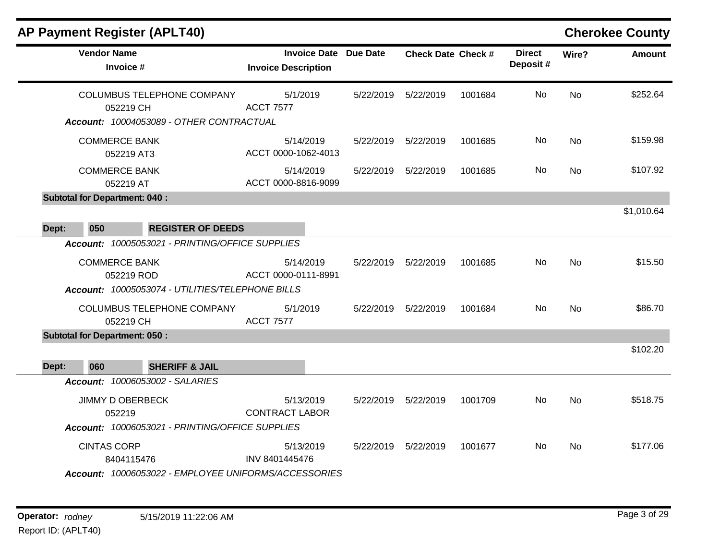|       |                                             | <b>AP Payment Register (APLT40)</b>                                                                                                       |                                                   |           |                           |         |                           |           | <b>Cherokee County</b> |
|-------|---------------------------------------------|-------------------------------------------------------------------------------------------------------------------------------------------|---------------------------------------------------|-----------|---------------------------|---------|---------------------------|-----------|------------------------|
|       | <b>Vendor Name</b>                          | Invoice #                                                                                                                                 | <b>Invoice Date</b><br><b>Invoice Description</b> | Due Date  | <b>Check Date Check #</b> |         | <b>Direct</b><br>Deposit# | Wire?     | <b>Amount</b>          |
|       |                                             | COLUMBUS TELEPHONE COMPANY<br>052219 CH<br>Account: 10004053089 - OTHER CONTRACTUAL                                                       | 5/1/2019<br><b>ACCT 7577</b>                      | 5/22/2019 | 5/22/2019                 | 1001684 | <b>No</b>                 | <b>No</b> | \$252.64               |
|       |                                             | <b>COMMERCE BANK</b><br>052219 AT3                                                                                                        | 5/14/2019<br>ACCT 0000-1062-4013                  | 5/22/2019 | 5/22/2019                 | 1001685 | No                        | <b>No</b> | \$159.98               |
|       |                                             | <b>COMMERCE BANK</b><br>052219 AT                                                                                                         | 5/14/2019<br>ACCT 0000-8816-9099                  | 5/22/2019 | 5/22/2019                 | 1001685 | No                        | <b>No</b> | \$107.92               |
| Dept: | <b>Subtotal for Department: 040:</b><br>050 | <b>REGISTER OF DEEDS</b>                                                                                                                  |                                                   |           |                           |         |                           |           | \$1,010.64             |
|       |                                             | Account: 10005053021 - PRINTING/OFFICE SUPPLIES<br><b>COMMERCE BANK</b><br>052219 ROD<br>Account: 10005053074 - UTILITIES/TELEPHONE BILLS | 5/14/2019<br>ACCT 0000-0111-8991                  | 5/22/2019 | 5/22/2019                 | 1001685 | No                        | <b>No</b> | \$15.50                |
|       |                                             | COLUMBUS TELEPHONE COMPANY<br>052219 CH                                                                                                   | 5/1/2019<br><b>ACCT 7577</b>                      | 5/22/2019 | 5/22/2019                 | 1001684 | No                        | <b>No</b> | \$86.70                |
| Dept: | <b>Subtotal for Department: 050:</b><br>060 | <b>SHERIFF &amp; JAIL</b>                                                                                                                 |                                                   |           |                           |         |                           |           | \$102.20               |
|       |                                             | Account: 10006053002 - SALARIES<br><b>JIMMY D OBERBECK</b><br>052219<br>Account: 10006053021 - PRINTING/OFFICE SUPPLIES                   | 5/13/2019<br><b>CONTRACT LABOR</b>                | 5/22/2019 | 5/22/2019                 | 1001709 | No.                       | No        | \$518.75               |
|       | <b>CINTAS CORP</b>                          | 8404115476<br>Account: 10006053022 - EMPLOYEE UNIFORMS/ACCESSORIES                                                                        | 5/13/2019<br>INV 8401445476                       | 5/22/2019 | 5/22/2019                 | 1001677 | No.                       | <b>No</b> | \$177.06               |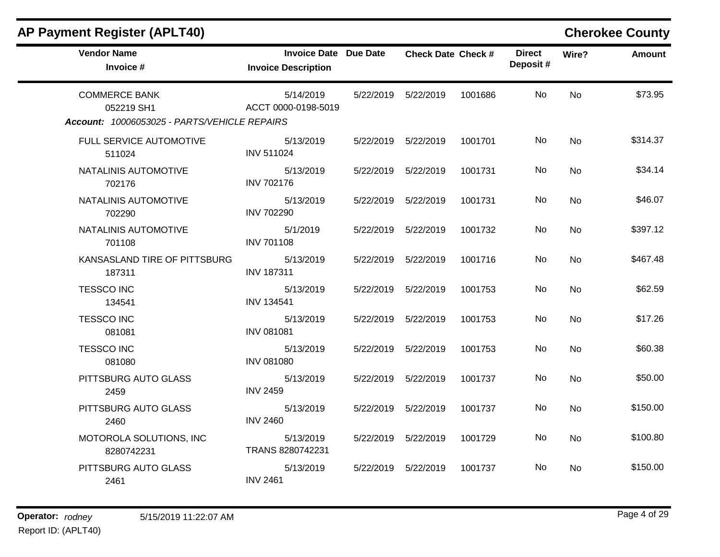| <b>AP Payment Register (APLT40)</b>                                                |                                                            |           |                           |         |                           |           | <b>Cherokee County</b> |
|------------------------------------------------------------------------------------|------------------------------------------------------------|-----------|---------------------------|---------|---------------------------|-----------|------------------------|
| <b>Vendor Name</b><br>Invoice #                                                    | <b>Invoice Date Due Date</b><br><b>Invoice Description</b> |           | <b>Check Date Check #</b> |         | <b>Direct</b><br>Deposit# | Wire?     | <b>Amount</b>          |
| <b>COMMERCE BANK</b><br>052219 SH1<br>Account: 10006053025 - PARTS/VEHICLE REPAIRS | 5/14/2019<br>ACCT 0000-0198-5019                           |           | 5/22/2019    5/22/2019    | 1001686 | No.                       | <b>No</b> | \$73.95                |
| FULL SERVICE AUTOMOTIVE<br>511024                                                  | 5/13/2019<br><b>INV 511024</b>                             |           | 5/22/2019    5/22/2019    | 1001701 | No.                       | <b>No</b> | \$314.37               |
| NATALINIS AUTOMOTIVE<br>702176                                                     | 5/13/2019<br><b>INV 702176</b>                             |           | 5/22/2019    5/22/2019    | 1001731 | No.                       | No        | \$34.14                |
| NATALINIS AUTOMOTIVE<br>702290                                                     | 5/13/2019<br><b>INV 702290</b>                             |           | 5/22/2019    5/22/2019    | 1001731 | No                        | <b>No</b> | \$46.07                |
| NATALINIS AUTOMOTIVE<br>701108                                                     | 5/1/2019<br><b>INV 701108</b>                              | 5/22/2019 | 5/22/2019                 | 1001732 | No.                       | <b>No</b> | \$397.12               |
| KANSASLAND TIRE OF PITTSBURG<br>187311                                             | 5/13/2019<br><b>INV 187311</b>                             | 5/22/2019 | 5/22/2019                 | 1001716 | No.                       | <b>No</b> | \$467.48               |
| <b>TESSCO INC</b><br>134541                                                        | 5/13/2019<br><b>INV 134541</b>                             | 5/22/2019 | 5/22/2019                 | 1001753 | No                        | <b>No</b> | \$62.59                |
| <b>TESSCO INC</b><br>081081                                                        | 5/13/2019<br><b>INV 081081</b>                             |           | 5/22/2019    5/22/2019    | 1001753 | No.                       | <b>No</b> | \$17.26                |
| <b>TESSCO INC</b><br>081080                                                        | 5/13/2019<br><b>INV 081080</b>                             | 5/22/2019 | 5/22/2019                 | 1001753 | No.                       | No        | \$60.38                |
| PITTSBURG AUTO GLASS<br>2459                                                       | 5/13/2019<br><b>INV 2459</b>                               | 5/22/2019 | 5/22/2019                 | 1001737 | No                        | <b>No</b> | \$50.00                |
| PITTSBURG AUTO GLASS<br>2460                                                       | 5/13/2019<br><b>INV 2460</b>                               | 5/22/2019 | 5/22/2019                 | 1001737 | No.                       | <b>No</b> | \$150.00               |
| MOTOROLA SOLUTIONS, INC<br>8280742231                                              | 5/13/2019<br>TRANS 8280742231                              |           | 5/22/2019    5/22/2019    | 1001729 | No.                       | No        | \$100.80               |
| PITTSBURG AUTO GLASS<br>2461                                                       | 5/13/2019<br><b>INV 2461</b>                               |           | 5/22/2019    5/22/2019    | 1001737 | No.                       | No        | \$150.00               |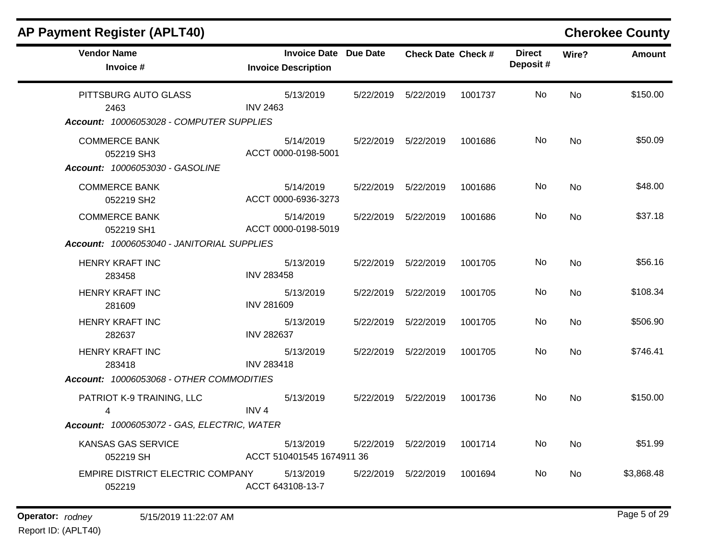| <b>AP Payment Register (APLT40)</b>                                      |                                                            |           |                           |         |                           |           | <b>Cherokee County</b> |
|--------------------------------------------------------------------------|------------------------------------------------------------|-----------|---------------------------|---------|---------------------------|-----------|------------------------|
| <b>Vendor Name</b><br>Invoice #                                          | <b>Invoice Date Due Date</b><br><b>Invoice Description</b> |           | <b>Check Date Check #</b> |         | <b>Direct</b><br>Deposit# | Wire?     | <b>Amount</b>          |
| PITTSBURG AUTO GLASS<br>2463<br>Account: 10006053028 - COMPUTER SUPPLIES | 5/13/2019<br><b>INV 2463</b>                               | 5/22/2019 | 5/22/2019                 | 1001737 | No.                       | <b>No</b> | \$150.00               |
| <b>COMMERCE BANK</b><br>052219 SH3<br>Account: 10006053030 - GASOLINE    | 5/14/2019<br>ACCT 0000-0198-5001                           |           | 5/22/2019 5/22/2019       | 1001686 | No.                       | <b>No</b> | \$50.09                |
| <b>COMMERCE BANK</b><br>052219 SH2                                       | 5/14/2019<br>ACCT 0000-6936-3273                           |           | 5/22/2019 5/22/2019       | 1001686 | No.                       | No        | \$48.00                |
| <b>COMMERCE BANK</b><br>052219 SH1                                       | 5/14/2019<br>ACCT 0000-0198-5019                           | 5/22/2019 | 5/22/2019                 | 1001686 | No.                       | No        | \$37.18                |
| Account: 10006053040 - JANITORIAL SUPPLIES                               |                                                            |           |                           |         |                           |           |                        |
| <b>HENRY KRAFT INC</b><br>283458                                         | 5/13/2019<br><b>INV 283458</b>                             |           | 5/22/2019    5/22/2019    | 1001705 | No                        | <b>No</b> | \$56.16                |
| <b>HENRY KRAFT INC</b><br>281609                                         | 5/13/2019<br><b>INV 281609</b>                             | 5/22/2019 | 5/22/2019                 | 1001705 | No.                       | No        | \$108.34               |
| <b>HENRY KRAFT INC</b><br>282637                                         | 5/13/2019<br><b>INV 282637</b>                             | 5/22/2019 | 5/22/2019                 | 1001705 | No.                       | <b>No</b> | \$506.90               |
| <b>HENRY KRAFT INC</b><br>283418                                         | 5/13/2019<br><b>INV 283418</b>                             |           | 5/22/2019 5/22/2019       | 1001705 | No.                       | <b>No</b> | \$746.41               |
| Account: 10006053068 - OTHER COMMODITIES                                 |                                                            |           |                           |         |                           |           |                        |
| PATRIOT K-9 TRAINING, LLC<br>4                                           | 5/13/2019<br>INV <sub>4</sub>                              |           | 5/22/2019    5/22/2019    | 1001736 | No.                       | <b>No</b> | \$150.00               |
| Account: 10006053072 - GAS, ELECTRIC, WATER                              |                                                            |           |                           |         |                           |           |                        |
| KANSAS GAS SERVICE<br>052219 SH                                          | 5/13/2019<br>ACCT 510401545 1674911 36                     | 5/22/2019 | 5/22/2019                 | 1001714 | No                        | No        | \$51.99                |
| EMPIRE DISTRICT ELECTRIC COMPANY<br>052219                               | 5/13/2019<br>ACCT 643108-13-7                              | 5/22/2019 | 5/22/2019                 | 1001694 | No.                       | No        | \$3,868.48             |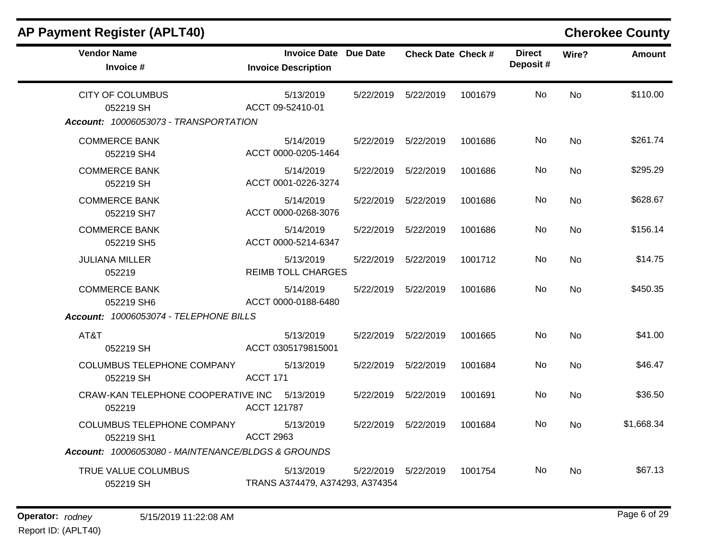| <b>Vendor Name</b><br>Invoice #                        | Invoice Date Due Date<br><b>Invoice Description</b> |           | <b>Check Date Check #</b> |         | <b>Direct</b><br>Deposit# | Wire?     | <b>Amount</b> |
|--------------------------------------------------------|-----------------------------------------------------|-----------|---------------------------|---------|---------------------------|-----------|---------------|
| <b>CITY OF COLUMBUS</b><br>052219 SH                   | 5/13/2019<br>ACCT 09-52410-01                       |           | 5/22/2019    5/22/2019    | 1001679 | No.                       | <b>No</b> | \$110.00      |
| Account: 10006053073 - TRANSPORTATION                  |                                                     |           |                           |         |                           |           |               |
| <b>COMMERCE BANK</b><br>052219 SH4                     | 5/14/2019<br>ACCT 0000-0205-1464                    |           | 5/22/2019    5/22/2019    | 1001686 | No.                       | <b>No</b> | \$261.74      |
| <b>COMMERCE BANK</b><br>052219 SH                      | 5/14/2019<br>ACCT 0001-0226-3274                    |           | 5/22/2019    5/22/2019    | 1001686 | No.                       | No.       | \$295.29      |
| <b>COMMERCE BANK</b><br>052219 SH7                     | 5/14/2019<br>ACCT 0000-0268-3076                    |           | 5/22/2019    5/22/2019    | 1001686 | <b>No</b>                 | <b>No</b> | \$628.67      |
| <b>COMMERCE BANK</b><br>052219 SH5                     | 5/14/2019<br>ACCT 0000-5214-6347                    |           | 5/22/2019    5/22/2019    | 1001686 | No.                       | <b>No</b> | \$156.14      |
| <b>JULIANA MILLER</b><br>052219                        | 5/13/2019<br><b>REIMB TOLL CHARGES</b>              |           | 5/22/2019    5/22/2019    | 1001712 | No                        | <b>No</b> | \$14.75       |
| <b>COMMERCE BANK</b><br>052219 SH6                     | 5/14/2019<br>ACCT 0000-0188-6480                    |           | 5/22/2019    5/22/2019    | 1001686 | No.                       | <b>No</b> | \$450.35      |
| Account: 10006053074 - TELEPHONE BILLS                 |                                                     |           |                           |         |                           |           |               |
| AT&T<br>052219 SH                                      | 5/13/2019<br>ACCT 0305179815001                     |           | 5/22/2019    5/22/2019    | 1001665 | No.                       | <b>No</b> | \$41.00       |
| COLUMBUS TELEPHONE COMPANY<br>052219 SH                | 5/13/2019<br>ACCT 171                               |           | 5/22/2019 5/22/2019       | 1001684 | No.                       | <b>No</b> | \$46.47       |
| CRAW-KAN TELEPHONE COOPERATIVE INC 5/13/2019<br>052219 | ACCT 121787                                         |           | 5/22/2019    5/22/2019    | 1001691 | No                        | <b>No</b> | \$36.50       |
| <b>COLUMBUS TELEPHONE COMPANY</b><br>052219 SH1        | 5/13/2019<br><b>ACCT 2963</b>                       |           | 5/22/2019    5/22/2019    | 1001684 | No.                       | <b>No</b> | \$1,668.34    |
| Account: 10006053080 - MAINTENANCE/BLDGS & GROUNDS     |                                                     |           |                           |         |                           |           |               |
| TRUE VALUE COLUMBUS<br>052219 SH                       | 5/13/2019<br>TRANS A374479, A374293, A374354        | 5/22/2019 | 5/22/2019                 | 1001754 | No.                       | <b>No</b> | \$67.13       |

# **AP Payment Register (APLT40) Cherokee County**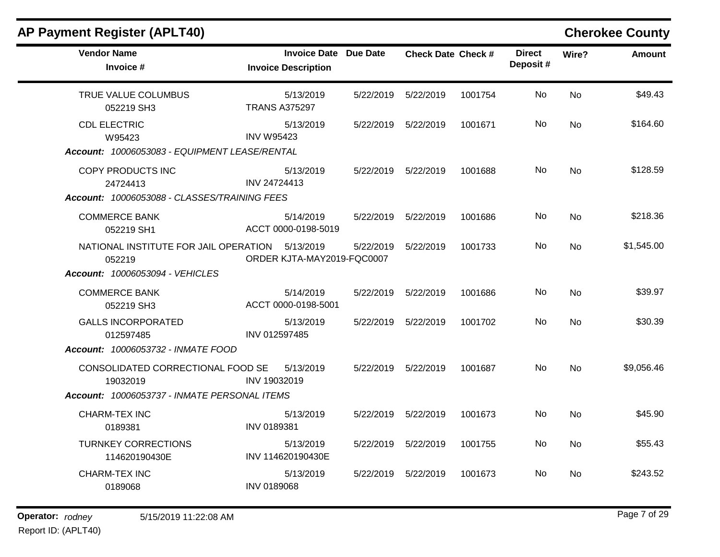| <b>AP Payment Register (APLT40)</b>             |                                         |                              |                           |         |                           |           | <b>Cherokee County</b> |
|-------------------------------------------------|-----------------------------------------|------------------------------|---------------------------|---------|---------------------------|-----------|------------------------|
| <b>Vendor Name</b><br>Invoice #                 | <b>Invoice Description</b>              | <b>Invoice Date Due Date</b> | <b>Check Date Check #</b> |         | <b>Direct</b><br>Deposit# | Wire?     | <b>Amount</b>          |
| TRUE VALUE COLUMBUS<br>052219 SH3               | 5/13/2019<br><b>TRANS A375297</b>       | 5/22/2019                    | 5/22/2019                 | 1001754 | No                        | <b>No</b> | \$49.43                |
| <b>CDL ELECTRIC</b><br>W95423                   | 5/13/2019<br><b>INV W95423</b>          | 5/22/2019                    | 5/22/2019                 | 1001671 | No                        | <b>No</b> | \$164.60               |
| Account: 10006053083 - EQUIPMENT LEASE/RENTAL   |                                         |                              |                           |         |                           |           |                        |
| COPY PRODUCTS INC<br>24724413                   | 5/13/2019<br>INV 24724413               | 5/22/2019                    | 5/22/2019                 | 1001688 | No                        | <b>No</b> | \$128.59               |
| Account: 10006053088 - CLASSES/TRAINING FEES    |                                         |                              |                           |         |                           |           |                        |
| <b>COMMERCE BANK</b><br>052219 SH1              | 5/14/2019<br>ACCT 0000-0198-5019        | 5/22/2019                    | 5/22/2019                 | 1001686 | No                        | <b>No</b> | \$218.36               |
| NATIONAL INSTITUTE FOR JAIL OPERATION<br>052219 | 5/13/2019<br>ORDER KJTA-MAY2019-FQC0007 | 5/22/2019                    | 5/22/2019                 | 1001733 | <b>No</b>                 | <b>No</b> | \$1,545.00             |
| <b>Account: 10006053094 - VEHICLES</b>          |                                         |                              |                           |         |                           |           |                        |
| <b>COMMERCE BANK</b><br>052219 SH3              | 5/14/2019<br>ACCT 0000-0198-5001        | 5/22/2019                    | 5/22/2019                 | 1001686 | <b>No</b>                 | <b>No</b> | \$39.97                |
| <b>GALLS INCORPORATED</b><br>012597485          | 5/13/2019<br>INV 012597485              | 5/22/2019                    | 5/22/2019                 | 1001702 | <b>No</b>                 | <b>No</b> | \$30.39                |
| Account: 10006053732 - INMATE FOOD              |                                         |                              |                           |         |                           |           |                        |
| CONSOLIDATED CORRECTIONAL FOOD SE<br>19032019   | 5/13/2019<br>INV 19032019               | 5/22/2019                    | 5/22/2019                 | 1001687 | No                        | <b>No</b> | \$9,056.46             |
| Account: 10006053737 - INMATE PERSONAL ITEMS    |                                         |                              |                           |         |                           |           |                        |
| <b>CHARM-TEX INC</b><br>0189381                 | 5/13/2019<br>INV 0189381                | 5/22/2019                    | 5/22/2019                 | 1001673 | No.                       | <b>No</b> | \$45.90                |
| <b>TURNKEY CORRECTIONS</b><br>114620190430E     | 5/13/2019<br>INV 114620190430E          | 5/22/2019                    | 5/22/2019                 | 1001755 | No                        | <b>No</b> | \$55.43                |
| <b>CHARM-TEX INC</b><br>0189068                 | 5/13/2019<br><b>INV 0189068</b>         | 5/22/2019                    | 5/22/2019                 | 1001673 | No                        | <b>No</b> | \$243.52               |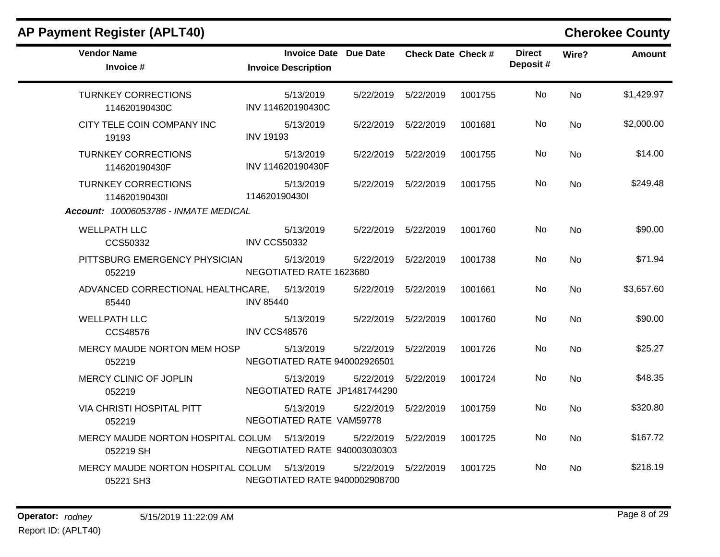| AP Payment Register (APLT40)                         |                                                            |           |                           |         |                           |           | <b>Cherokee County</b> |
|------------------------------------------------------|------------------------------------------------------------|-----------|---------------------------|---------|---------------------------|-----------|------------------------|
| <b>Vendor Name</b><br>Invoice #                      | <b>Invoice Date Due Date</b><br><b>Invoice Description</b> |           | <b>Check Date Check #</b> |         | <b>Direct</b><br>Deposit# | Wire?     | <b>Amount</b>          |
| <b>TURNKEY CORRECTIONS</b><br>114620190430C          | 5/13/2019<br>INV 114620190430C                             |           | 5/22/2019    5/22/2019    | 1001755 | No                        | <b>No</b> | \$1,429.97             |
| CITY TELE COIN COMPANY INC<br>19193                  | 5/13/2019<br><b>INV 19193</b>                              |           | 5/22/2019    5/22/2019    | 1001681 | No.                       | <b>No</b> | \$2,000.00             |
| <b>TURNKEY CORRECTIONS</b><br>114620190430F          | 5/13/2019<br>INV 114620190430F                             | 5/22/2019 | 5/22/2019                 | 1001755 | No                        | <b>No</b> | \$14.00                |
| <b>TURNKEY CORRECTIONS</b><br>114620190430l          | 5/13/2019<br>114620190430l                                 |           | 5/22/2019    5/22/2019    | 1001755 | No.                       | <b>No</b> | \$249.48               |
| Account: 10006053786 - INMATE MEDICAL                |                                                            |           |                           |         |                           |           |                        |
| <b>WELLPATH LLC</b><br>CCS50332                      | 5/13/2019<br><b>INV CCS50332</b>                           |           | 5/22/2019    5/22/2019    | 1001760 | No.                       | <b>No</b> | \$90.00                |
| PITTSBURG EMERGENCY PHYSICIAN<br>052219              | 5/13/2019<br>NEGOTIATED RATE 1623680                       | 5/22/2019 | 5/22/2019                 | 1001738 | No.                       | <b>No</b> | \$71.94                |
| ADVANCED CORRECTIONAL HEALTHCARE, 5/13/2019<br>85440 | <b>INV 85440</b>                                           | 5/22/2019 | 5/22/2019                 | 1001661 | No.                       | <b>No</b> | \$3,657.60             |
| <b>WELLPATH LLC</b><br>CCS48576                      | 5/13/2019<br><b>INV CCS48576</b>                           |           | 5/22/2019 5/22/2019       | 1001760 | No                        | <b>No</b> | \$90.00                |
| MERCY MAUDE NORTON MEM HOSP<br>052219                | 5/13/2019<br>NEGOTIATED RATE 940002926501                  | 5/22/2019 | 5/22/2019                 | 1001726 | No.                       | <b>No</b> | \$25.27                |
| MERCY CLINIC OF JOPLIN<br>052219                     | 5/13/2019<br>NEGOTIATED RATE JP1481744290                  | 5/22/2019 | 5/22/2019                 | 1001724 | No                        | <b>No</b> | \$48.35                |
| <b>VIA CHRISTI HOSPITAL PITT</b><br>052219           | 5/13/2019<br>NEGOTIATED RATE VAM59778                      | 5/22/2019 | 5/22/2019                 | 1001759 | No.                       | <b>No</b> | \$320.80               |
| MERCY MAUDE NORTON HOSPITAL COLUM<br>052219 SH       | 5/13/2019<br>NEGOTIATED RATE 940003030303                  | 5/22/2019 | 5/22/2019                 | 1001725 | No                        | <b>No</b> | \$167.72               |
| MERCY MAUDE NORTON HOSPITAL COLUM<br>05221 SH3       | 5/13/2019<br>NEGOTIATED RATE 9400002908700                 | 5/22/2019 | 5/22/2019                 | 1001725 | No.                       | <b>No</b> | \$218.19               |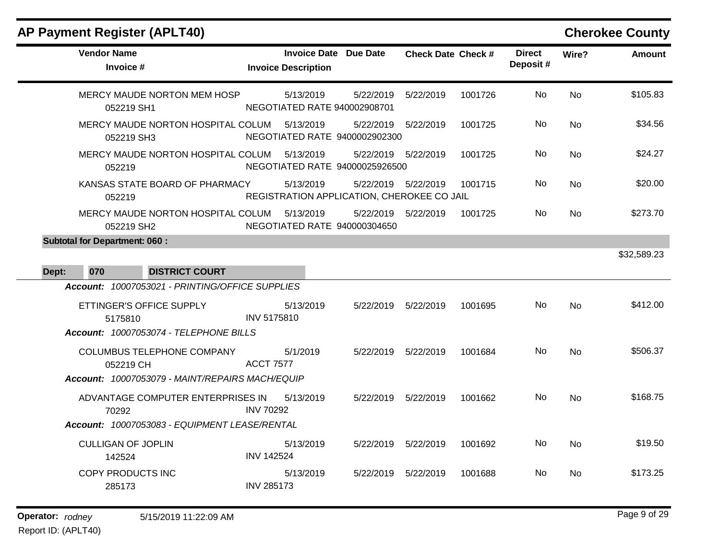| <b>AP Payment Register (APLT40)</b>                                                                                              |                                                            |                        |                           |         |                           |           | <b>Cherokee County</b> |
|----------------------------------------------------------------------------------------------------------------------------------|------------------------------------------------------------|------------------------|---------------------------|---------|---------------------------|-----------|------------------------|
| <b>Vendor Name</b><br>Invoice #                                                                                                  | <b>Invoice Date Due Date</b><br><b>Invoice Description</b> |                        | <b>Check Date Check #</b> |         | <b>Direct</b><br>Deposit# | Wire?     | <b>Amount</b>          |
| MERCY MAUDE NORTON MEM HOSP<br>052219 SH1                                                                                        | 5/13/2019<br>NEGOTIATED RATE 940002908701                  | 5/22/2019              | 5/22/2019                 | 1001726 | No                        | No        | \$105.83               |
| MERCY MAUDE NORTON HOSPITAL COLUM<br>052219 SH3                                                                                  | 5/13/2019<br>NEGOTIATED RATE 9400002902300                 | 5/22/2019              | 5/22/2019                 | 1001725 | No.                       | No        | \$34.56                |
| MERCY MAUDE NORTON HOSPITAL COLUM<br>052219                                                                                      | 5/13/2019<br>NEGOTIATED RATE 94000025926500                | 5/22/2019              | 5/22/2019                 | 1001725 | No                        | No        | \$24.27                |
| KANSAS STATE BOARD OF PHARMACY<br>052219                                                                                         | 5/13/2019<br>REGISTRATION APPLICATION, CHEROKEE CO JAIL    | 5/22/2019              | 5/22/2019                 | 1001715 | No                        | No        | \$20.00                |
| MERCY MAUDE NORTON HOSPITAL COLUM<br>052219 SH2                                                                                  | 5/13/2019<br>NEGOTIATED RATE 940000304650                  | 5/22/2019              | 5/22/2019                 | 1001725 | No.                       | No        | \$273.70               |
| Dept:<br>070<br><b>DISTRICT COURT</b>                                                                                            |                                                            |                        |                           |         |                           |           | \$32,589.23            |
| Account: 10007053021 - PRINTING/OFFICE SUPPLIES<br>ETTINGER'S OFFICE SUPPLY<br>5175810<br>Account: 10007053074 - TELEPHONE BILLS | 5/13/2019<br>INV 5175810                                   | 5/22/2019              | 5/22/2019                 | 1001695 | No                        | No        | \$412.00               |
| COLUMBUS TELEPHONE COMPANY<br>052219 CH<br>Account: 10007053079 - MAINT/REPAIRS MACH/EQUIP                                       | 5/1/2019<br><b>ACCT 7577</b>                               | 5/22/2019              | 5/22/2019                 | 1001684 | No.                       | No        | \$506.37               |
| ADVANTAGE COMPUTER ENTERPRISES IN<br>70292                                                                                       | 5/13/2019<br><b>INV 70292</b>                              | 5/22/2019              | 5/22/2019                 | 1001662 | No.                       | No        | \$168.75               |
| Account: 10007053083 - EQUIPMENT LEASE/RENTAL                                                                                    |                                                            |                        |                           |         |                           |           |                        |
| <b>CULLIGAN OF JOPLIN</b><br>142524                                                                                              | 5/13/2019<br><b>INV 142524</b>                             |                        | 5/22/2019 5/22/2019       | 1001692 | No                        | <b>No</b> | \$19.50                |
| COPY PRODUCTS INC<br>285173                                                                                                      | 5/13/2019<br><b>INV 285173</b>                             | 5/22/2019    5/22/2019 |                           | 1001688 | No                        | No        | \$173.25               |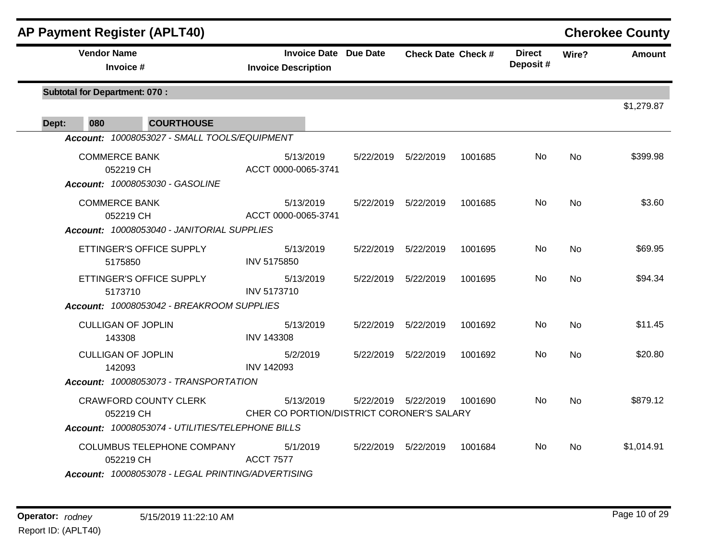| <b>AP Payment Register (APLT40)</b>                                                           |                                                            |           |                           |         |                           |           | <b>Cherokee County</b> |
|-----------------------------------------------------------------------------------------------|------------------------------------------------------------|-----------|---------------------------|---------|---------------------------|-----------|------------------------|
| <b>Vendor Name</b><br>Invoice #                                                               | <b>Invoice Date Due Date</b><br><b>Invoice Description</b> |           | <b>Check Date Check #</b> |         | <b>Direct</b><br>Deposit# | Wire?     | <b>Amount</b>          |
| <b>Subtotal for Department: 070:</b>                                                          |                                                            |           |                           |         |                           |           | \$1,279.87             |
| <b>COURTHOUSE</b><br>080<br>Dept:                                                             |                                                            |           |                           |         |                           |           |                        |
| Account: 10008053027 - SMALL TOOLS/EQUIPMENT                                                  |                                                            |           |                           |         |                           |           |                        |
| <b>COMMERCE BANK</b><br>052219 CH<br>Account: 10008053030 - GASOLINE                          | 5/13/2019<br>ACCT 0000-0065-3741                           |           | 5/22/2019    5/22/2019    | 1001685 | No.                       | <b>No</b> | \$399.98               |
| <b>COMMERCE BANK</b><br>052219 CH<br>Account: 10008053040 - JANITORIAL SUPPLIES               | 5/13/2019<br>ACCT 0000-0065-3741                           |           | 5/22/2019    5/22/2019    | 1001685 | No                        | <b>No</b> | \$3.60                 |
| ETTINGER'S OFFICE SUPPLY<br>5175850                                                           | 5/13/2019<br><b>INV 5175850</b>                            |           | 5/22/2019 5/22/2019       | 1001695 | No                        | <b>No</b> | \$69.95                |
| ETTINGER'S OFFICE SUPPLY<br>5173710                                                           | 5/13/2019<br><b>INV 5173710</b>                            |           | 5/22/2019    5/22/2019    | 1001695 | No.                       | <b>No</b> | \$94.34                |
| Account: 10008053042 - BREAKROOM SUPPLIES                                                     |                                                            |           |                           |         |                           |           |                        |
| <b>CULLIGAN OF JOPLIN</b><br>143308                                                           | 5/13/2019<br><b>INV 143308</b>                             |           | 5/22/2019    5/22/2019    | 1001692 | No.                       | <b>No</b> | \$11.45                |
| <b>CULLIGAN OF JOPLIN</b><br>142093                                                           | 5/2/2019<br><b>INV 142093</b>                              |           | 5/22/2019    5/22/2019    | 1001692 | No.                       | <b>No</b> | \$20.80                |
| Account: 10008053073 - TRANSPORTATION                                                         |                                                            |           |                           |         |                           |           |                        |
| <b>CRAWFORD COUNTY CLERK</b><br>052219 CH<br>Account: 10008053074 - UTILITIES/TELEPHONE BILLS | 5/13/2019<br>CHER CO PORTION/DISTRICT CORONER'S SALARY     | 5/22/2019 | 5/22/2019                 | 1001690 | No.                       | <b>No</b> | \$879.12               |
|                                                                                               |                                                            |           |                           |         |                           |           |                        |
| COLUMBUS TELEPHONE COMPANY<br>052219 CH<br>Account: 10008053078 - LEGAL PRINTING/ADVERTISING  | 5/1/2019<br><b>ACCT 7577</b>                               |           | 5/22/2019    5/22/2019    | 1001684 | No                        | <b>No</b> | \$1,014.91             |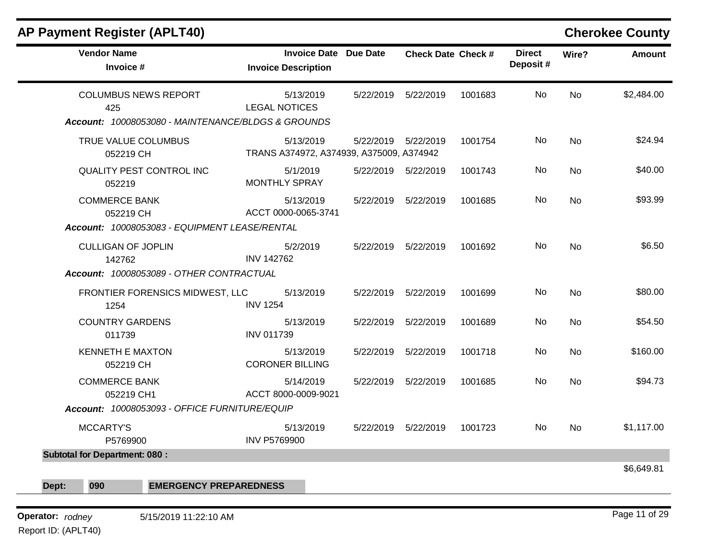| <b>AP Payment Register (APLT40)</b>                                                |                                                            |           |                           |         |                           |           | <b>Cherokee County</b> |
|------------------------------------------------------------------------------------|------------------------------------------------------------|-----------|---------------------------|---------|---------------------------|-----------|------------------------|
| <b>Vendor Name</b><br>Invoice #                                                    | <b>Invoice Date Due Date</b><br><b>Invoice Description</b> |           | <b>Check Date Check #</b> |         | <b>Direct</b><br>Deposit# | Wire?     | <b>Amount</b>          |
| <b>COLUMBUS NEWS REPORT</b><br>425                                                 | 5/13/2019<br><b>LEGAL NOTICES</b>                          | 5/22/2019 | 5/22/2019                 | 1001683 | No                        | <b>No</b> | \$2,484.00             |
| Account: 10008053080 - MAINTENANCE/BLDGS & GROUNDS                                 |                                                            |           |                           |         |                           |           |                        |
| TRUE VALUE COLUMBUS<br>052219 CH                                                   | 5/13/2019<br>TRANS A374972, A374939, A375009, A374942      |           | 5/22/2019    5/22/2019    | 1001754 | No                        | <b>No</b> | \$24.94                |
| QUALITY PEST CONTROL INC<br>052219                                                 | 5/1/2019<br><b>MONTHLY SPRAY</b>                           |           | 5/22/2019    5/22/2019    | 1001743 | No.                       | No        | \$40.00                |
| <b>COMMERCE BANK</b><br>052219 CH<br>Account: 10008053083 - EQUIPMENT LEASE/RENTAL | 5/13/2019<br>ACCT 0000-0065-3741                           |           | 5/22/2019 5/22/2019       | 1001685 | No                        | No.       | \$93.99                |
| <b>CULLIGAN OF JOPLIN</b><br>142762<br>Account: 10008053089 - OTHER CONTRACTUAL    | 5/2/2019<br><b>INV 142762</b>                              | 5/22/2019 | 5/22/2019                 | 1001692 | No                        | <b>No</b> | \$6.50                 |
| FRONTIER FORENSICS MIDWEST, LLC<br>1254                                            | 5/13/2019<br><b>INV 1254</b>                               | 5/22/2019 | 5/22/2019                 | 1001699 | <b>No</b>                 | <b>No</b> | \$80.00                |
| <b>COUNTRY GARDENS</b><br>011739                                                   | 5/13/2019<br><b>INV 011739</b>                             | 5/22/2019 | 5/22/2019                 | 1001689 | No                        | <b>No</b> | \$54.50                |
| <b>KENNETH E MAXTON</b><br>052219 CH                                               | 5/13/2019<br><b>CORONER BILLING</b>                        |           | 5/22/2019    5/22/2019    | 1001718 | No                        | No.       | \$160.00               |
| <b>COMMERCE BANK</b><br>052219 CH1                                                 | 5/14/2019<br>ACCT 8000-0009-9021                           | 5/22/2019 | 5/22/2019                 | 1001685 | No                        | No        | \$94.73                |
| Account: 10008053093 - OFFICE FURNITURE/EQUIP                                      |                                                            |           |                           |         |                           |           |                        |
| <b>MCCARTY'S</b><br>P5769900                                                       | 5/13/2019<br><b>INV P5769900</b>                           | 5/22/2019 | 5/22/2019                 | 1001723 | No.                       | <b>No</b> | \$1,117.00             |
| <b>Subtotal for Department: 080:</b>                                               |                                                            |           |                           |         |                           |           |                        |
|                                                                                    |                                                            |           |                           |         |                           |           | \$6,649.81             |
| Dept:<br>090<br><b>EMERGENCY PREPAREDNESS</b>                                      |                                                            |           |                           |         |                           |           |                        |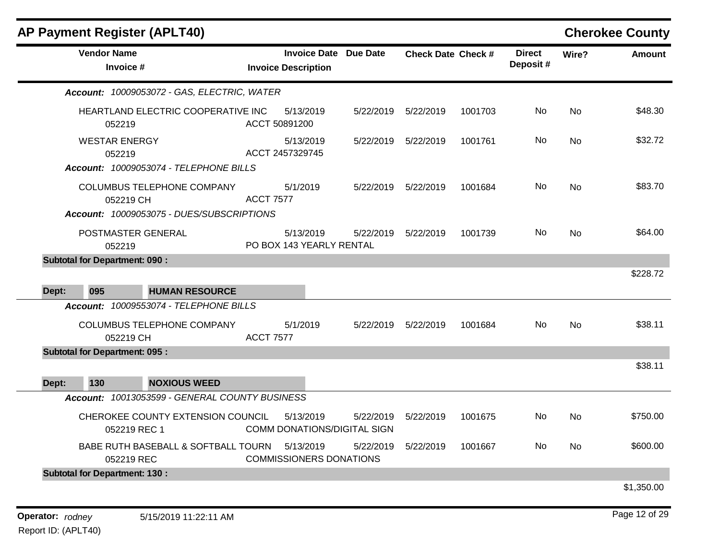| <b>AP Payment Register (APLT40)</b>                                               |                                                            |           |                           |         |                           |           | <b>Cherokee County</b> |
|-----------------------------------------------------------------------------------|------------------------------------------------------------|-----------|---------------------------|---------|---------------------------|-----------|------------------------|
| <b>Vendor Name</b><br>Invoice #                                                   | <b>Invoice Date Due Date</b><br><b>Invoice Description</b> |           | <b>Check Date Check #</b> |         | <b>Direct</b><br>Deposit# | Wire?     | <b>Amount</b>          |
| Account: 10009053072 - GAS, ELECTRIC, WATER                                       |                                                            |           |                           |         |                           |           |                        |
| HEARTLAND ELECTRIC COOPERATIVE INC<br>052219                                      | 5/13/2019<br>ACCT 50891200                                 | 5/22/2019 | 5/22/2019                 | 1001703 | No                        | <b>No</b> | \$48.30                |
| <b>WESTAR ENERGY</b><br>052219<br>Account: 10009053074 - TELEPHONE BILLS          | 5/13/2019<br>ACCT 2457329745                               |           | 5/22/2019    5/22/2019    | 1001761 | No                        | No        | \$32.72                |
| COLUMBUS TELEPHONE COMPANY<br>052219 CH                                           | 5/1/2019<br><b>ACCT 7577</b>                               |           | 5/22/2019    5/22/2019    | 1001684 | No                        | <b>No</b> | \$83.70                |
| Account: 10009053075 - DUES/SUBSCRIPTIONS<br>POSTMASTER GENERAL<br>052219         | 5/13/2019<br>PO BOX 143 YEARLY RENTAL                      | 5/22/2019 | 5/22/2019                 | 1001739 | No                        | No        | \$64.00                |
| <b>Subtotal for Department: 090:</b>                                              |                                                            |           |                           |         |                           |           |                        |
| 095<br>Dept:<br><b>HUMAN RESOURCE</b>                                             |                                                            |           |                           |         |                           |           | \$228.72               |
| Account: 10009553074 - TELEPHONE BILLS<br>COLUMBUS TELEPHONE COMPANY<br>052219 CH | 5/1/2019<br><b>ACCT 7577</b>                               |           | 5/22/2019    5/22/2019    | 1001684 | No.                       | No        | \$38.11                |
| <b>Subtotal for Department: 095:</b>                                              |                                                            |           |                           |         |                           |           |                        |
| 130<br><b>NOXIOUS WEED</b><br>Dept:                                               |                                                            |           |                           |         |                           |           | \$38.11                |
| Account: 10013053599 - GENERAL COUNTY BUSINESS                                    |                                                            |           |                           |         |                           |           |                        |
| CHEROKEE COUNTY EXTENSION COUNCIL<br>052219 REC 1                                 | 5/13/2019<br><b>COMM DONATIONS/DIGITAL SIGN</b>            | 5/22/2019 | 5/22/2019                 | 1001675 | No.                       | No        | \$750.00               |
| BABE RUTH BASEBALL & SOFTBALL TOURN 5/13/2019<br>052219 REC                       | <b>COMMISSIONERS DONATIONS</b>                             |           | 5/22/2019    5/22/2019    | 1001667 | No                        | No        | \$600.00               |
| <b>Subtotal for Department: 130:</b>                                              |                                                            |           |                           |         |                           |           |                        |
|                                                                                   |                                                            |           |                           |         |                           |           | \$1,350.00             |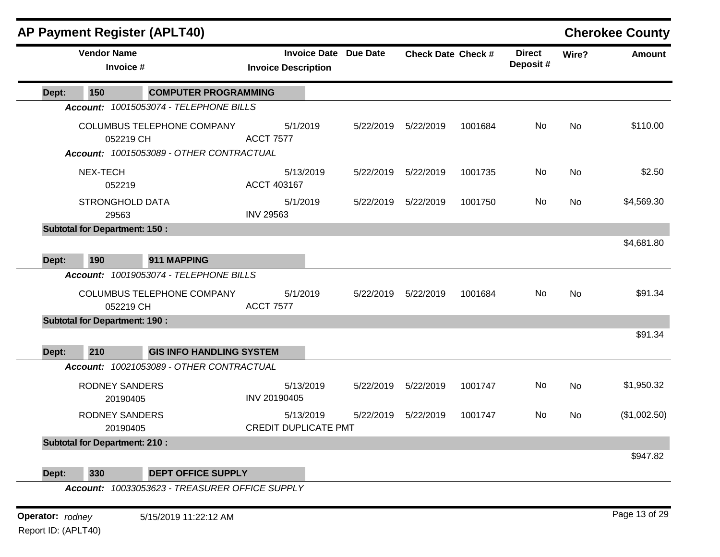|                     |                    |                                      | <b>AP Payment Register (APLT40)</b>                                    |                  |                                                            |           |                           |         |                           |           | <b>Cherokee County</b> |
|---------------------|--------------------|--------------------------------------|------------------------------------------------------------------------|------------------|------------------------------------------------------------|-----------|---------------------------|---------|---------------------------|-----------|------------------------|
|                     | <b>Vendor Name</b> | Invoice #                            |                                                                        |                  | <b>Invoice Date Due Date</b><br><b>Invoice Description</b> |           | <b>Check Date Check #</b> |         | <b>Direct</b><br>Deposit# | Wire?     | <b>Amount</b>          |
| Dept:               | 150                |                                      | <b>COMPUTER PROGRAMMING</b>                                            |                  |                                                            |           |                           |         |                           |           |                        |
|                     |                    |                                      | Account: 10015053074 - TELEPHONE BILLS                                 |                  |                                                            |           |                           |         |                           |           |                        |
|                     |                    | 052219 CH                            | COLUMBUS TELEPHONE COMPANY<br>Account: 10015053089 - OTHER CONTRACTUAL | <b>ACCT 7577</b> | 5/1/2019                                                   | 5/22/2019 | 5/22/2019                 | 1001684 | No                        | <b>No</b> | \$110.00               |
|                     | NEX-TECH           | 052219                               |                                                                        | ACCT 403167      | 5/13/2019                                                  | 5/22/2019 | 5/22/2019                 | 1001735 | No                        | <b>No</b> | \$2.50                 |
|                     |                    | <b>STRONGHOLD DATA</b><br>29563      |                                                                        | <b>INV 29563</b> | 5/1/2019                                                   | 5/22/2019 | 5/22/2019                 | 1001750 | No                        | No        | \$4,569.30             |
|                     |                    | <b>Subtotal for Department: 150:</b> |                                                                        |                  |                                                            |           |                           |         |                           |           | \$4,681.80             |
| Dept:               | 190                |                                      | 911 MAPPING                                                            |                  |                                                            |           |                           |         |                           |           |                        |
|                     |                    |                                      | Account: 10019053074 - TELEPHONE BILLS                                 |                  |                                                            |           |                           |         |                           |           |                        |
|                     |                    | 052219 CH                            | <b>COLUMBUS TELEPHONE COMPANY</b>                                      | <b>ACCT 7577</b> | 5/1/2019                                                   | 5/22/2019 | 5/22/2019                 | 1001684 | No                        | <b>No</b> | \$91.34                |
|                     |                    | <b>Subtotal for Department: 190:</b> |                                                                        |                  |                                                            |           |                           |         |                           |           |                        |
| Dept:               | 210                |                                      | <b>GIS INFO HANDLING SYSTEM</b>                                        |                  |                                                            |           |                           |         |                           |           | \$91.34                |
|                     |                    |                                      | Account: 10021053089 - OTHER CONTRACTUAL                               |                  |                                                            |           |                           |         |                           |           |                        |
|                     |                    | <b>RODNEY SANDERS</b><br>20190405    |                                                                        | INV 20190405     | 5/13/2019                                                  | 5/22/2019 | 5/22/2019                 | 1001747 | No                        | <b>No</b> | \$1,950.32             |
|                     |                    | <b>RODNEY SANDERS</b><br>20190405    |                                                                        |                  | 5/13/2019<br><b>CREDIT DUPLICATE PMT</b>                   | 5/22/2019 | 5/22/2019                 | 1001747 | No                        | <b>No</b> | (\$1,002.50)           |
|                     |                    | <b>Subtotal for Department: 210:</b> |                                                                        |                  |                                                            |           |                           |         |                           |           | \$947.82               |
| Dept:               | 330                |                                      | <b>DEPT OFFICE SUPPLY</b>                                              |                  |                                                            |           |                           |         |                           |           |                        |
|                     |                    |                                      | Account: 10033053623 - TREASURER OFFICE SUPPLY                         |                  |                                                            |           |                           |         |                           |           |                        |
| Operator: rodney    |                    |                                      | 5/15/2019 11:22:12 AM                                                  |                  |                                                            |           |                           |         |                           |           | Page 13 of 29          |
| Report ID: (APLT40) |                    |                                      |                                                                        |                  |                                                            |           |                           |         |                           |           |                        |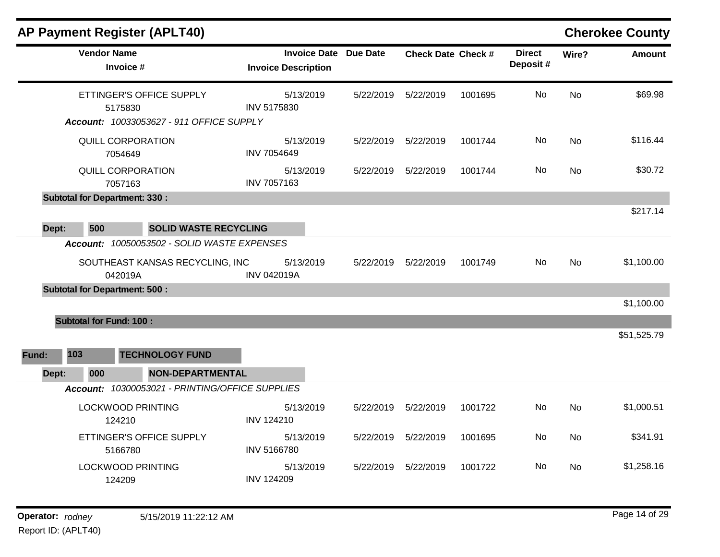| <b>Vendor Name</b><br><b>Invoice Date Due Date</b><br><b>Direct</b><br><b>Check Date Check #</b><br>Wire?<br>Deposit#<br>Invoice #<br><b>Invoice Description</b><br>No<br>ETTINGER'S OFFICE SUPPLY<br>5/13/2019<br><b>No</b><br>5/22/2019<br>5/22/2019<br>1001695<br>INV 5175830<br>5175830<br>Account: 10033053627 - 911 OFFICE SUPPLY<br>No<br>QUILL CORPORATION<br>5/13/2019<br>1001744<br><b>No</b><br>5/22/2019<br>5/22/2019<br><b>INV 7054649</b><br>7054649<br>QUILL CORPORATION<br>No<br>5/13/2019<br>5/22/2019<br>5/22/2019<br>1001744<br>No<br><b>INV 7057163</b><br>7057163<br><b>Subtotal for Department: 330:</b><br>500<br>Dept:<br><b>SOLID WASTE RECYCLING</b><br>Account: 10050053502 - SOLID WASTE EXPENSES<br>No.<br>SOUTHEAST KANSAS RECYCLING, INC<br>5/13/2019<br>5/22/2019<br>5/22/2019<br>1001749<br>No.<br><b>INV 042019A</b><br>042019A<br><b>Subtotal for Department: 500:</b><br><b>Subtotal for Fund: 100:</b><br>103<br><b>TECHNOLOGY FUND</b><br>Fund:<br>000<br><b>NON-DEPARTMENTAL</b><br>Dept:<br>Account: 10300053021 - PRINTING/OFFICE SUPPLIES<br>No<br><b>LOCKWOOD PRINTING</b><br>5/13/2019<br>5/22/2019<br>5/22/2019<br>1001722<br><b>No</b><br><b>INV 124210</b><br>124210<br>No<br>ETTINGER'S OFFICE SUPPLY<br>5/13/2019<br>5/22/2019<br>5/22/2019<br>1001695<br><b>No</b><br><b>INV 5166780</b><br>5166780<br><b>LOCKWOOD PRINTING</b><br>5/13/2019<br>No<br>5/22/2019<br>5/22/2019<br>1001722<br><b>No</b><br><b>INV 124209</b><br>124209 |  |  | <b>AP Payment Register (APLT40)</b> |  |  |            | <b>Cherokee County</b> |
|---------------------------------------------------------------------------------------------------------------------------------------------------------------------------------------------------------------------------------------------------------------------------------------------------------------------------------------------------------------------------------------------------------------------------------------------------------------------------------------------------------------------------------------------------------------------------------------------------------------------------------------------------------------------------------------------------------------------------------------------------------------------------------------------------------------------------------------------------------------------------------------------------------------------------------------------------------------------------------------------------------------------------------------------------------------------------------------------------------------------------------------------------------------------------------------------------------------------------------------------------------------------------------------------------------------------------------------------------------------------------------------------------------------------------------------------------------------------------------------|--|--|-------------------------------------|--|--|------------|------------------------|
|                                                                                                                                                                                                                                                                                                                                                                                                                                                                                                                                                                                                                                                                                                                                                                                                                                                                                                                                                                                                                                                                                                                                                                                                                                                                                                                                                                                                                                                                                       |  |  |                                     |  |  |            | <b>Amount</b>          |
|                                                                                                                                                                                                                                                                                                                                                                                                                                                                                                                                                                                                                                                                                                                                                                                                                                                                                                                                                                                                                                                                                                                                                                                                                                                                                                                                                                                                                                                                                       |  |  |                                     |  |  |            | \$69.98                |
|                                                                                                                                                                                                                                                                                                                                                                                                                                                                                                                                                                                                                                                                                                                                                                                                                                                                                                                                                                                                                                                                                                                                                                                                                                                                                                                                                                                                                                                                                       |  |  |                                     |  |  |            | \$116.44               |
|                                                                                                                                                                                                                                                                                                                                                                                                                                                                                                                                                                                                                                                                                                                                                                                                                                                                                                                                                                                                                                                                                                                                                                                                                                                                                                                                                                                                                                                                                       |  |  |                                     |  |  |            | \$30.72                |
|                                                                                                                                                                                                                                                                                                                                                                                                                                                                                                                                                                                                                                                                                                                                                                                                                                                                                                                                                                                                                                                                                                                                                                                                                                                                                                                                                                                                                                                                                       |  |  |                                     |  |  |            | \$217.14               |
|                                                                                                                                                                                                                                                                                                                                                                                                                                                                                                                                                                                                                                                                                                                                                                                                                                                                                                                                                                                                                                                                                                                                                                                                                                                                                                                                                                                                                                                                                       |  |  |                                     |  |  |            | \$1,100.00             |
|                                                                                                                                                                                                                                                                                                                                                                                                                                                                                                                                                                                                                                                                                                                                                                                                                                                                                                                                                                                                                                                                                                                                                                                                                                                                                                                                                                                                                                                                                       |  |  |                                     |  |  |            | \$1,100.00             |
|                                                                                                                                                                                                                                                                                                                                                                                                                                                                                                                                                                                                                                                                                                                                                                                                                                                                                                                                                                                                                                                                                                                                                                                                                                                                                                                                                                                                                                                                                       |  |  |                                     |  |  |            | \$51,525.79            |
|                                                                                                                                                                                                                                                                                                                                                                                                                                                                                                                                                                                                                                                                                                                                                                                                                                                                                                                                                                                                                                                                                                                                                                                                                                                                                                                                                                                                                                                                                       |  |  |                                     |  |  |            |                        |
|                                                                                                                                                                                                                                                                                                                                                                                                                                                                                                                                                                                                                                                                                                                                                                                                                                                                                                                                                                                                                                                                                                                                                                                                                                                                                                                                                                                                                                                                                       |  |  |                                     |  |  | \$1,000.51 |                        |
|                                                                                                                                                                                                                                                                                                                                                                                                                                                                                                                                                                                                                                                                                                                                                                                                                                                                                                                                                                                                                                                                                                                                                                                                                                                                                                                                                                                                                                                                                       |  |  |                                     |  |  | \$341.91   |                        |
|                                                                                                                                                                                                                                                                                                                                                                                                                                                                                                                                                                                                                                                                                                                                                                                                                                                                                                                                                                                                                                                                                                                                                                                                                                                                                                                                                                                                                                                                                       |  |  |                                     |  |  | \$1,258.16 |                        |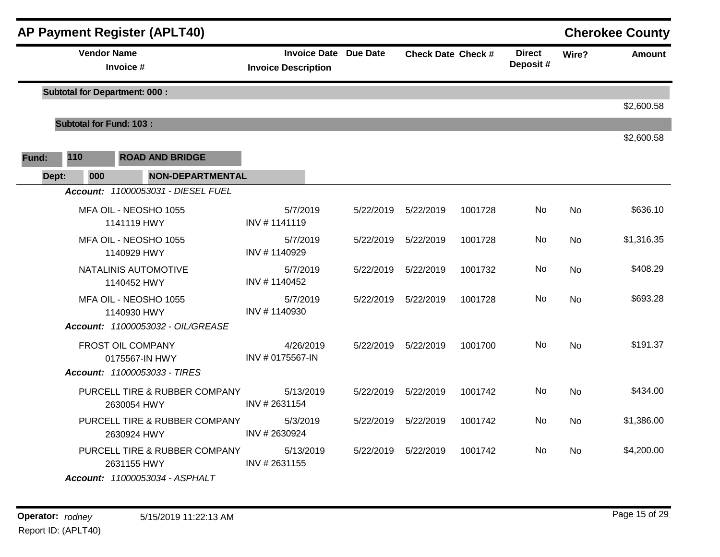| <b>AP Payment Register (APLT40)</b><br><b>Cherokee County</b> |                                |                                              |                              |  |                              |                           |         |                           |           |               |
|---------------------------------------------------------------|--------------------------------|----------------------------------------------|------------------------------|--|------------------------------|---------------------------|---------|---------------------------|-----------|---------------|
|                                                               |                                | <b>Vendor Name</b><br>Invoice #              | <b>Invoice Description</b>   |  | <b>Invoice Date Due Date</b> | <b>Check Date Check #</b> |         | <b>Direct</b><br>Deposit# | Wire?     | <b>Amount</b> |
|                                                               |                                | <b>Subtotal for Department: 000:</b>         |                              |  |                              |                           |         |                           |           |               |
|                                                               |                                |                                              |                              |  |                              |                           |         |                           |           | \$2,600.58    |
|                                                               | <b>Subtotal for Fund: 103:</b> |                                              |                              |  |                              |                           |         |                           |           | \$2,600.58    |
| Fund:                                                         | 110                            | <b>ROAD AND BRIDGE</b>                       |                              |  |                              |                           |         |                           |           |               |
| Dept:                                                         | 000                            | <b>NON-DEPARTMENTAL</b>                      |                              |  |                              |                           |         |                           |           |               |
|                                                               |                                | Account: 11000053031 - DIESEL FUEL           |                              |  |                              |                           |         |                           |           |               |
|                                                               |                                | MFA OIL - NEOSHO 1055<br>1141119 HWY         | 5/7/2019<br>INV #1141119     |  | 5/22/2019                    | 5/22/2019                 | 1001728 | No                        | <b>No</b> | \$636.10      |
|                                                               |                                | MFA OIL - NEOSHO 1055<br>1140929 HWY         | 5/7/2019<br>INV #1140929     |  | 5/22/2019                    | 5/22/2019                 | 1001728 | No                        | <b>No</b> | \$1,316.35    |
|                                                               |                                | NATALINIS AUTOMOTIVE<br>1140452 HWY          | 5/7/2019<br>INV #1140452     |  | 5/22/2019                    | 5/22/2019                 | 1001732 | No                        | <b>No</b> | \$408.29      |
|                                                               |                                | MFA OIL - NEOSHO 1055<br>1140930 HWY         | 5/7/2019<br>INV #1140930     |  | 5/22/2019                    | 5/22/2019                 | 1001728 | No                        | <b>No</b> | \$693.28      |
|                                                               |                                | Account: 11000053032 - OIL/GREASE            |                              |  |                              |                           |         |                           |           |               |
|                                                               |                                | FROST OIL COMPANY<br>0175567-IN HWY          | 4/26/2019<br>INV #0175567-IN |  | 5/22/2019                    | 5/22/2019                 | 1001700 | No                        | No        | \$191.37      |
|                                                               |                                | Account: 11000053033 - TIRES                 |                              |  |                              |                           |         |                           |           |               |
|                                                               |                                | PURCELL TIRE & RUBBER COMPANY<br>2630054 HWY | 5/13/2019<br>INV #2631154    |  | 5/22/2019                    | 5/22/2019                 | 1001742 | No                        | No        | \$434.00      |
|                                                               |                                | PURCELL TIRE & RUBBER COMPANY<br>2630924 HWY | 5/3/2019<br>INV #2630924     |  | 5/22/2019                    | 5/22/2019                 | 1001742 | No                        | <b>No</b> | \$1,386.00    |
|                                                               |                                | PURCELL TIRE & RUBBER COMPANY<br>2631155 HWY | 5/13/2019<br>INV #2631155    |  | 5/22/2019                    | 5/22/2019                 | 1001742 | No.                       | <b>No</b> | \$4,200.00    |
|                                                               |                                | Account: 11000053034 - ASPHALT               |                              |  |                              |                           |         |                           |           |               |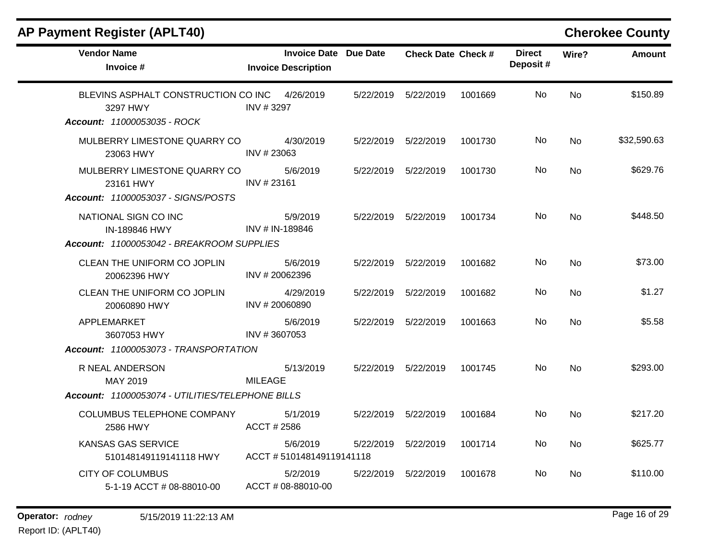| AP Payment Register (APLT40)                                                          |                                                     | <b>Cherokee County</b> |                           |         |                           |           |               |
|---------------------------------------------------------------------------------------|-----------------------------------------------------|------------------------|---------------------------|---------|---------------------------|-----------|---------------|
| <b>Vendor Name</b><br>Invoice #                                                       | Invoice Date Due Date<br><b>Invoice Description</b> |                        | <b>Check Date Check #</b> |         | <b>Direct</b><br>Deposit# | Wire?     | <b>Amount</b> |
| BLEVINS ASPHALT CONSTRUCTION CO INC<br>3297 HWY<br><b>Account: 11000053035 - ROCK</b> | 4/26/2019<br>INV #3297                              | 5/22/2019              | 5/22/2019                 | 1001669 | No                        | <b>No</b> | \$150.89      |
| MULBERRY LIMESTONE QUARRY CO<br>23063 HWY                                             | 4/30/2019<br>INV # 23063                            |                        | 5/22/2019    5/22/2019    | 1001730 | No                        | <b>No</b> | \$32,590.63   |
| MULBERRY LIMESTONE QUARRY CO<br>23161 HWY                                             | 5/6/2019<br>INV #23161                              | 5/22/2019              | 5/22/2019                 | 1001730 | No.                       | No        | \$629.76      |
| Account: 11000053037 - SIGNS/POSTS                                                    |                                                     |                        |                           |         |                           |           |               |
| NATIONAL SIGN CO INC<br>IN-189846 HWY                                                 | 5/9/2019<br>INV # IN-189846                         |                        | 5/22/2019    5/22/2019    | 1001734 | No                        | <b>No</b> | \$448.50      |
| Account: 11000053042 - BREAKROOM SUPPLIES                                             |                                                     |                        |                           |         |                           |           |               |
| CLEAN THE UNIFORM CO JOPLIN<br>20062396 HWY                                           | 5/6/2019<br>INV #20062396                           | 5/22/2019              | 5/22/2019                 | 1001682 | No.                       | <b>No</b> | \$73.00       |
| <b>CLEAN THE UNIFORM CO JOPLIN</b><br>20060890 HWY                                    | 4/29/2019<br>INV # 20060890                         | 5/22/2019              | 5/22/2019                 | 1001682 | No.                       | No.       | \$1.27        |
| APPLEMARKET<br>3607053 HWY                                                            | 5/6/2019<br>INV #3607053                            | 5/22/2019              | 5/22/2019                 | 1001663 | No                        | <b>No</b> | \$5.58        |
| Account: 11000053073 - TRANSPORTATION                                                 |                                                     |                        |                           |         |                           |           |               |
| R NEAL ANDERSON<br>MAY 2019                                                           | 5/13/2019<br><b>MILEAGE</b>                         |                        | 5/22/2019    5/22/2019    | 1001745 | No.                       | <b>No</b> | \$293.00      |
| Account: 11000053074 - UTILITIES/TELEPHONE BILLS                                      |                                                     |                        |                           |         |                           |           |               |
| COLUMBUS TELEPHONE COMPANY<br>2586 HWY                                                | 5/1/2019<br>ACCT # 2586                             | 5/22/2019              | 5/22/2019                 | 1001684 | No                        | <b>No</b> | \$217.20      |
| <b>KANSAS GAS SERVICE</b><br>510148149119141118 HWY                                   | 5/6/2019<br>ACCT #510148149119141118                | 5/22/2019              | 5/22/2019                 | 1001714 | No.                       | No.       | \$625.77      |
| <b>CITY OF COLUMBUS</b><br>5-1-19 ACCT # 08-88010-00                                  | 5/2/2019<br>ACCT # 08-88010-00                      | 5/22/2019              | 5/22/2019                 | 1001678 | No.                       | No.       | \$110.00      |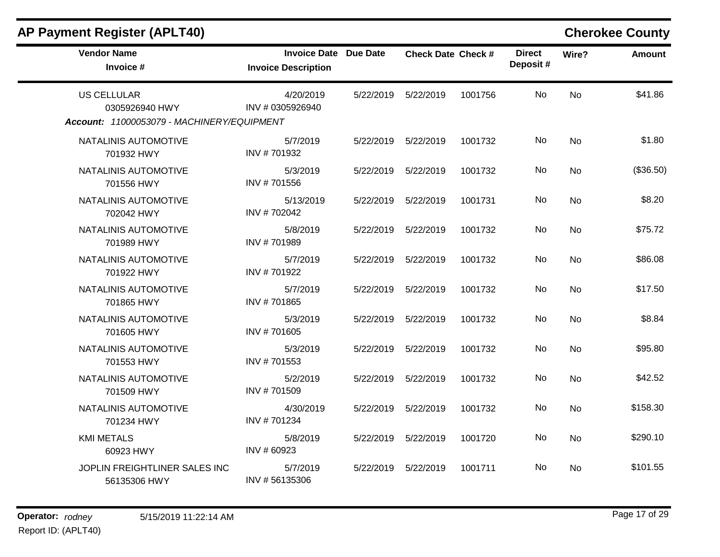| <b>AP Payment Register (APLT40)</b>                                                |                                                            |           |                           |         |                           |           | <b>Cherokee County</b> |
|------------------------------------------------------------------------------------|------------------------------------------------------------|-----------|---------------------------|---------|---------------------------|-----------|------------------------|
| <b>Vendor Name</b><br>Invoice #                                                    | <b>Invoice Date Due Date</b><br><b>Invoice Description</b> |           | <b>Check Date Check #</b> |         | <b>Direct</b><br>Deposit# | Wire?     | <b>Amount</b>          |
| <b>US CELLULAR</b><br>0305926940 HWY<br>Account: 11000053079 - MACHINERY/EQUIPMENT | 4/20/2019<br>INV #0305926940                               |           | 5/22/2019    5/22/2019    | 1001756 | <b>No</b>                 | <b>No</b> | \$41.86                |
| NATALINIS AUTOMOTIVE<br>701932 HWY                                                 | 5/7/2019<br>INV #701932                                    |           | 5/22/2019 5/22/2019       | 1001732 | No                        | <b>No</b> | \$1.80                 |
| NATALINIS AUTOMOTIVE<br>701556 HWY                                                 | 5/3/2019<br>INV #701556                                    |           | 5/22/2019    5/22/2019    | 1001732 | No                        | No.       | (\$36.50)              |
| NATALINIS AUTOMOTIVE<br>702042 HWY                                                 | 5/13/2019<br>INV #702042                                   |           | 5/22/2019    5/22/2019    | 1001731 | No                        | <b>No</b> | \$8.20                 |
| NATALINIS AUTOMOTIVE<br>701989 HWY                                                 | 5/8/2019<br>INV #701989                                    |           | 5/22/2019    5/22/2019    | 1001732 | No                        | <b>No</b> | \$75.72                |
| NATALINIS AUTOMOTIVE<br>701922 HWY                                                 | 5/7/2019<br>INV #701922                                    | 5/22/2019 | 5/22/2019                 | 1001732 | No                        | <b>No</b> | \$86.08                |
| NATALINIS AUTOMOTIVE<br>701865 HWY                                                 | 5/7/2019<br>INV #701865                                    | 5/22/2019 | 5/22/2019                 | 1001732 | No                        | <b>No</b> | \$17.50                |
| NATALINIS AUTOMOTIVE<br>701605 HWY                                                 | 5/3/2019<br>INV #701605                                    |           | 5/22/2019    5/22/2019    | 1001732 | No.                       | <b>No</b> | \$8.84                 |
| NATALINIS AUTOMOTIVE<br>701553 HWY                                                 | 5/3/2019<br>INV #701553                                    | 5/22/2019 | 5/22/2019                 | 1001732 | No                        | <b>No</b> | \$95.80                |
| NATALINIS AUTOMOTIVE<br>701509 HWY                                                 | 5/2/2019<br>INV #701509                                    | 5/22/2019 | 5/22/2019                 | 1001732 | No                        | <b>No</b> | \$42.52                |
| NATALINIS AUTOMOTIVE<br>701234 HWY                                                 | 4/30/2019<br>INV #701234                                   |           | 5/22/2019    5/22/2019    | 1001732 | No                        | <b>No</b> | \$158.30               |
| <b>KMI METALS</b><br>60923 HWY                                                     | 5/8/2019<br>INV #60923                                     | 5/22/2019 | 5/22/2019                 | 1001720 | No.                       | <b>No</b> | \$290.10               |
| JOPLIN FREIGHTLINER SALES INC<br>56135306 HWY                                      | 5/7/2019<br>INV #56135306                                  | 5/22/2019 | 5/22/2019                 | 1001711 | No                        | <b>No</b> | \$101.55               |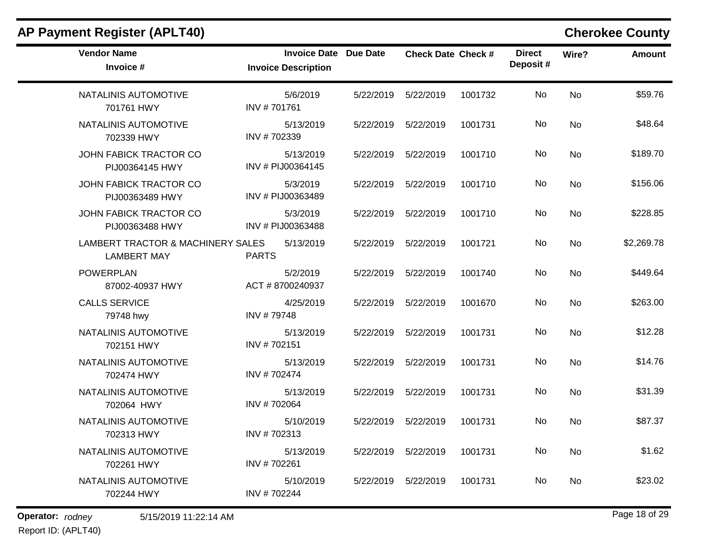| <b>Vendor Name</b><br>Invoice #                         | Invoice Date Due Date<br><b>Invoice Description</b> |           | <b>Check Date Check #</b> |         | <b>Direct</b><br>Deposit# | Wire?     | <b>Amount</b> |
|---------------------------------------------------------|-----------------------------------------------------|-----------|---------------------------|---------|---------------------------|-----------|---------------|
| NATALINIS AUTOMOTIVE<br>701761 HWY                      | 5/6/2019<br>INV #701761                             | 5/22/2019 | 5/22/2019                 | 1001732 | No                        | <b>No</b> | \$59.76       |
| NATALINIS AUTOMOTIVE<br>702339 HWY                      | 5/13/2019<br>INV #702339                            |           | 5/22/2019    5/22/2019    | 1001731 | No                        | <b>No</b> | \$48.64       |
| JOHN FABICK TRACTOR CO<br>PIJ00364145 HWY               | 5/13/2019<br>INV # PIJ00364145                      | 5/22/2019 | 5/22/2019                 | 1001710 | No.                       | <b>No</b> | \$189.70      |
| JOHN FABICK TRACTOR CO<br>PIJ00363489 HWY               | 5/3/2019<br>INV # PIJ00363489                       | 5/22/2019 | 5/22/2019                 | 1001710 | No                        | <b>No</b> | \$156.06      |
| JOHN FABICK TRACTOR CO<br>PIJ00363488 HWY               | 5/3/2019<br>INV # PIJ00363488                       | 5/22/2019 | 5/22/2019                 | 1001710 | No.                       | <b>No</b> | \$228.85      |
| LAMBERT TRACTOR & MACHINERY SALES<br><b>LAMBERT MAY</b> | 5/13/2019<br><b>PARTS</b>                           | 5/22/2019 | 5/22/2019                 | 1001721 | No                        | <b>No</b> | \$2,269.78    |
| <b>POWERPLAN</b><br>87002-40937 HWY                     | 5/2/2019<br>ACT #8700240937                         | 5/22/2019 | 5/22/2019                 | 1001740 | No                        | <b>No</b> | \$449.64      |
| <b>CALLS SERVICE</b><br>79748 hwy                       | 4/25/2019<br>INV #79748                             | 5/22/2019 | 5/22/2019                 | 1001670 | No.                       | <b>No</b> | \$263.00      |
| NATALINIS AUTOMOTIVE<br>702151 HWY                      | 5/13/2019<br>INV #702151                            | 5/22/2019 | 5/22/2019                 | 1001731 | No.                       | <b>No</b> | \$12.28       |
| NATALINIS AUTOMOTIVE<br>702474 HWY                      | 5/13/2019<br>INV #702474                            | 5/22/2019 | 5/22/2019                 | 1001731 | No.                       | <b>No</b> | \$14.76       |
| NATALINIS AUTOMOTIVE<br>702064 HWY                      | 5/13/2019<br>INV #702064                            | 5/22/2019 | 5/22/2019                 | 1001731 | No                        | <b>No</b> | \$31.39       |
| NATALINIS AUTOMOTIVE<br>702313 HWY                      | 5/10/2019<br>INV #702313                            | 5/22/2019 | 5/22/2019                 | 1001731 | No.                       | <b>No</b> | \$87.37       |
| NATALINIS AUTOMOTIVE<br>702261 HWY                      | 5/13/2019<br>INV #702261                            | 5/22/2019 | 5/22/2019                 | 1001731 | No                        | <b>No</b> | \$1.62        |
| NATALINIS AUTOMOTIVE<br>702244 HWY                      | 5/10/2019<br>INV #702244                            | 5/22/2019 | 5/22/2019                 | 1001731 | No.                       | No.       | \$23.02       |

### **AP Payment Register (APLT40) Cherokee County**

**Operator:** rodney 5/15/2019 11:22:14 AM *Page 18 of 29 Page 18 of 29* Report ID: (APLT40)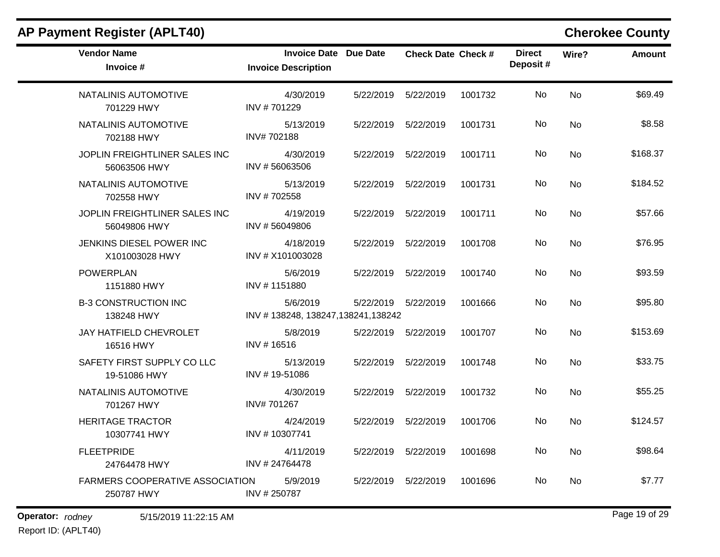| <b>Vendor Name</b><br>Invoice #                      | <b>Invoice Date Due Date</b><br><b>Invoice Description</b> |           | <b>Check Date Check #</b> |         | <b>Direct</b><br>Deposit# | Wire?     | <b>Amount</b> |
|------------------------------------------------------|------------------------------------------------------------|-----------|---------------------------|---------|---------------------------|-----------|---------------|
| NATALINIS AUTOMOTIVE<br>701229 HWY                   | 4/30/2019<br>INV #701229                                   | 5/22/2019 | 5/22/2019                 | 1001732 | No.                       | <b>No</b> | \$69.49       |
| NATALINIS AUTOMOTIVE<br>702188 HWY                   | 5/13/2019<br>INV#702188                                    |           | 5/22/2019    5/22/2019    | 1001731 | No.                       | <b>No</b> | \$8.58        |
| JOPLIN FREIGHTLINER SALES INC<br>56063506 HWY        | 4/30/2019<br>INV #56063506                                 |           | 5/22/2019    5/22/2019    | 1001711 | No.                       | <b>No</b> | \$168.37      |
| NATALINIS AUTOMOTIVE<br>702558 HWY                   | 5/13/2019<br>INV #702558                                   | 5/22/2019 | 5/22/2019                 | 1001731 | No.                       | <b>No</b> | \$184.52      |
| JOPLIN FREIGHTLINER SALES INC<br>56049806 HWY        | 4/19/2019<br>INV #56049806                                 |           | 5/22/2019 5/22/2019       | 1001711 | No.                       | <b>No</b> | \$57.66       |
| JENKINS DIESEL POWER INC<br>X101003028 HWY           | 4/18/2019<br>INV # X101003028                              |           | 5/22/2019    5/22/2019    | 1001708 | No                        | <b>No</b> | \$76.95       |
| <b>POWERPLAN</b><br>1151880 HWY                      | 5/6/2019<br>INV #1151880                                   |           | 5/22/2019    5/22/2019    | 1001740 | No                        | <b>No</b> | \$93.59       |
| <b>B-3 CONSTRUCTION INC</b><br>138248 HWY            | 5/6/2019<br>INV #138248, 138247, 138241, 138242            |           | 5/22/2019    5/22/2019    | 1001666 | No                        | <b>No</b> | \$95.80       |
| <b>JAY HATFIELD CHEVROLET</b><br>16516 HWY           | 5/8/2019<br>INV #16516                                     |           | 5/22/2019    5/22/2019    | 1001707 | No                        | <b>No</b> | \$153.69      |
| SAFETY FIRST SUPPLY CO LLC<br>19-51086 HWY           | 5/13/2019<br>INV #19-51086                                 |           | 5/22/2019    5/22/2019    | 1001748 | No.                       | <b>No</b> | \$33.75       |
| NATALINIS AUTOMOTIVE<br>701267 HWY                   | 4/30/2019<br>INV#701267                                    | 5/22/2019 | 5/22/2019                 | 1001732 | No.                       | <b>No</b> | \$55.25       |
| <b>HERITAGE TRACTOR</b><br>10307741 HWY              | 4/24/2019<br>INV #10307741                                 |           | 5/22/2019    5/22/2019    | 1001706 | No.                       | <b>No</b> | \$124.57      |
| <b>FLEETPRIDE</b><br>24764478 HWY                    | 4/11/2019<br>INV # 24764478                                | 5/22/2019 | 5/22/2019                 | 1001698 | No                        | <b>No</b> | \$98.64       |
| <b>FARMERS COOPERATIVE ASSOCIATION</b><br>250787 HWY | 5/9/2019<br>INV #250787                                    | 5/22/2019 | 5/22/2019                 | 1001696 | No.                       | No.       | \$7.77        |

# **AP Payment Register (APLT40) Cherokee County**

### **Operator:** rodney 5/15/2019 11:22:15 AM *Page 19 of 29 Page 19 of 29* Report ID: (APLT40)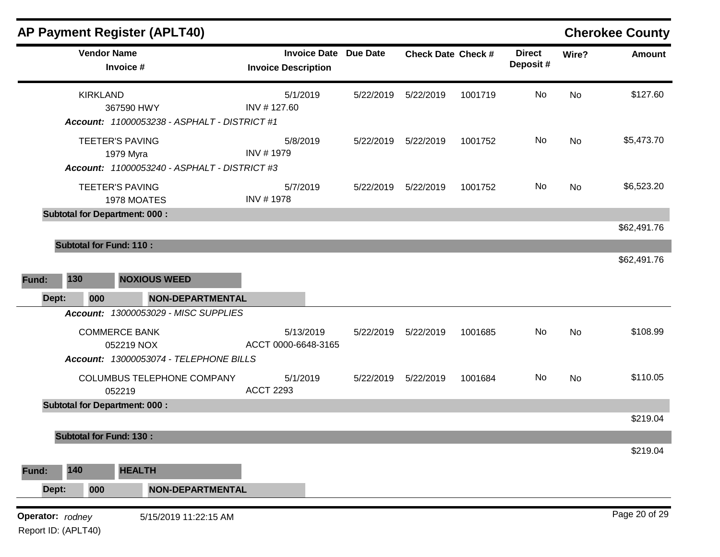|                 | AP Payment Register (APLT40)                                                        |                         |                                                            |           |                           |         |                           |           |               |
|-----------------|-------------------------------------------------------------------------------------|-------------------------|------------------------------------------------------------|-----------|---------------------------|---------|---------------------------|-----------|---------------|
|                 | <b>Vendor Name</b><br>Invoice #                                                     |                         | <b>Invoice Date Due Date</b><br><b>Invoice Description</b> |           | <b>Check Date Check #</b> |         | <b>Direct</b><br>Deposit# | Wire?     | <b>Amount</b> |
| <b>KIRKLAND</b> | 367590 HWY<br>Account: 11000053238 - ASPHALT - DISTRICT #1                          |                         | 5/1/2019<br>INV #127.60                                    | 5/22/2019 | 5/22/2019                 | 1001719 | <b>No</b>                 | <b>No</b> | \$127.60      |
|                 | <b>TEETER'S PAVING</b><br>1979 Myra<br>Account: 11000053240 - ASPHALT - DISTRICT #3 |                         | 5/8/2019<br>INV #1979                                      | 5/22/2019 | 5/22/2019                 | 1001752 | No                        | <b>No</b> | \$5,473.70    |
|                 | <b>TEETER'S PAVING</b><br>1978 MOATES                                               |                         | 5/7/2019<br>INV #1978                                      | 5/22/2019 | 5/22/2019                 | 1001752 | No                        | <b>No</b> | \$6,523.20    |
|                 | <b>Subtotal for Department: 000:</b>                                                |                         |                                                            |           |                           |         |                           |           |               |
|                 |                                                                                     |                         |                                                            |           |                           |         |                           |           | \$62,491.76   |
|                 | <b>Subtotal for Fund: 110:</b>                                                      |                         |                                                            |           |                           |         |                           |           | \$62,491.76   |
| 130<br>Fund:    | <b>NOXIOUS WEED</b>                                                                 |                         |                                                            |           |                           |         |                           |           |               |
| Dept:<br>000    |                                                                                     | <b>NON-DEPARTMENTAL</b> |                                                            |           |                           |         |                           |           |               |
|                 | <b>Account: 13000053029 - MISC SUPPLIES</b>                                         |                         |                                                            |           |                           |         |                           |           |               |
|                 | <b>COMMERCE BANK</b><br>052219 NOX                                                  |                         | 5/13/2019<br>ACCT 0000-6648-3165                           | 5/22/2019 | 5/22/2019                 | 1001685 | No                        | No        | \$108.99      |
|                 | Account: 13000053074 - TELEPHONE BILLS<br>COLUMBUS TELEPHONE COMPANY<br>052219      |                         | 5/1/2019<br><b>ACCT 2293</b>                               | 5/22/2019 | 5/22/2019                 | 1001684 | <b>No</b>                 | <b>No</b> | \$110.05      |
|                 | <b>Subtotal for Department: 000:</b>                                                |                         |                                                            |           |                           |         |                           |           |               |
|                 |                                                                                     |                         |                                                            |           |                           |         |                           |           | \$219.04      |
|                 | <b>Subtotal for Fund: 130:</b>                                                      |                         |                                                            |           |                           |         |                           |           | \$219.04      |
|                 | <b>HEALTH</b>                                                                       |                         |                                                            |           |                           |         |                           |           |               |
| 140<br>Fund:    |                                                                                     |                         |                                                            |           |                           |         |                           |           |               |
| 000<br>Dept:    |                                                                                     | <b>NON-DEPARTMENTAL</b> |                                                            |           |                           |         |                           |           |               |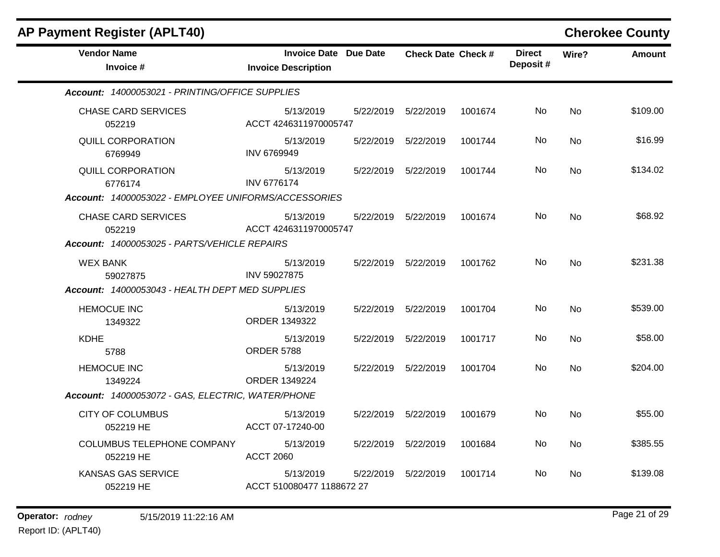| <b>AP Payment Register (APLT40)</b>                                                  |                                                            |           |                           |         |                           |           |          |  |  |
|--------------------------------------------------------------------------------------|------------------------------------------------------------|-----------|---------------------------|---------|---------------------------|-----------|----------|--|--|
| <b>Vendor Name</b><br>Invoice #                                                      | <b>Invoice Date Due Date</b><br><b>Invoice Description</b> |           | <b>Check Date Check #</b> |         | <b>Direct</b><br>Deposit# | Wire?     | Amount   |  |  |
| Account: 14000053021 - PRINTING/OFFICE SUPPLIES                                      |                                                            |           |                           |         |                           |           |          |  |  |
| <b>CHASE CARD SERVICES</b><br>052219                                                 | 5/13/2019<br>ACCT 4246311970005747                         |           | 5/22/2019    5/22/2019    | 1001674 | No.                       | No.       | \$109.00 |  |  |
| <b>QUILL CORPORATION</b><br>6769949                                                  | 5/13/2019<br>INV 6769949                                   | 5/22/2019 | 5/22/2019                 | 1001744 | No                        | No.       | \$16.99  |  |  |
| QUILL CORPORATION<br>6776174<br>Account: 14000053022 - EMPLOYEE UNIFORMS/ACCESSORIES | 5/13/2019<br><b>INV 6776174</b>                            |           | 5/22/2019    5/22/2019    | 1001744 | No                        | No.       | \$134.02 |  |  |
| <b>CHASE CARD SERVICES</b><br>052219<br>Account: 14000053025 - PARTS/VEHICLE REPAIRS | 5/13/2019<br>ACCT 4246311970005747                         | 5/22/2019 | 5/22/2019                 | 1001674 | No.                       | <b>No</b> | \$68.92  |  |  |
| <b>WEX BANK</b><br>59027875<br>Account: 14000053043 - HEALTH DEPT MED SUPPLIES       | 5/13/2019<br>INV 59027875                                  |           | 5/22/2019 5/22/2019       | 1001762 | No.                       | No.       | \$231.38 |  |  |
| <b>HEMOCUE INC</b><br>1349322                                                        | 5/13/2019<br>ORDER 1349322                                 | 5/22/2019 | 5/22/2019                 | 1001704 | No                        | <b>No</b> | \$539.00 |  |  |
| <b>KDHE</b><br>5788                                                                  | 5/13/2019<br><b>ORDER 5788</b>                             |           | 5/22/2019    5/22/2019    | 1001717 | No.                       | No.       | \$58.00  |  |  |
| <b>HEMOCUE INC</b><br>1349224<br>Account: 14000053072 - GAS, ELECTRIC, WATER/PHONE   | 5/13/2019<br>ORDER 1349224                                 |           | 5/22/2019    5/22/2019    | 1001704 | No.                       | <b>No</b> | \$204.00 |  |  |
| <b>CITY OF COLUMBUS</b><br>052219 HE                                                 | 5/13/2019<br>ACCT 07-17240-00                              |           | 5/22/2019    5/22/2019    | 1001679 | No                        | No.       | \$55.00  |  |  |
| COLUMBUS TELEPHONE COMPANY<br>052219 HE                                              | 5/13/2019<br><b>ACCT 2060</b>                              |           | 5/22/2019    5/22/2019    | 1001684 | No                        | No.       | \$385.55 |  |  |
| KANSAS GAS SERVICE<br>052219 HE                                                      | 5/13/2019<br>ACCT 510080477 1188672 27                     | 5/22/2019 | 5/22/2019                 | 1001714 | No.                       | <b>No</b> | \$139.08 |  |  |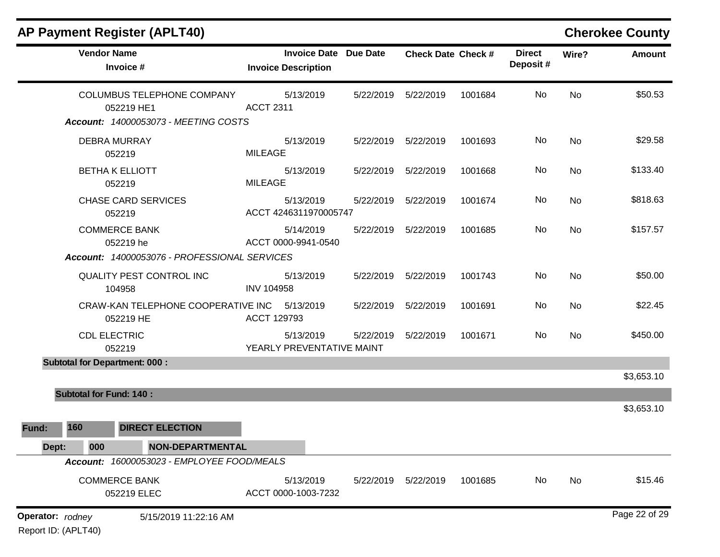|                  |                                | <b>AP Payment Register (APLT40)</b>                                                            |                                                            |           |                           |         |                           |           | <b>Cherokee County</b> |
|------------------|--------------------------------|------------------------------------------------------------------------------------------------|------------------------------------------------------------|-----------|---------------------------|---------|---------------------------|-----------|------------------------|
|                  | <b>Vendor Name</b>             | Invoice #                                                                                      | <b>Invoice Date Due Date</b><br><b>Invoice Description</b> |           | <b>Check Date Check #</b> |         | <b>Direct</b><br>Deposit# | Wire?     | <b>Amount</b>          |
|                  |                                | <b>COLUMBUS TELEPHONE COMPANY</b><br>052219 HE1<br><b>Account: 14000053073 - MEETING COSTS</b> | 5/13/2019<br><b>ACCT 2311</b>                              | 5/22/2019 | 5/22/2019                 | 1001684 | No                        | <b>No</b> | \$50.53                |
|                  |                                | <b>DEBRA MURRAY</b><br>052219                                                                  | 5/13/2019<br><b>MILEAGE</b>                                | 5/22/2019 | 5/22/2019                 | 1001693 | <b>No</b>                 | <b>No</b> | \$29.58                |
|                  |                                | <b>BETHA K ELLIOTT</b><br>052219                                                               | 5/13/2019<br><b>MILEAGE</b>                                | 5/22/2019 | 5/22/2019                 | 1001668 | <b>No</b>                 | <b>No</b> | \$133.40               |
|                  |                                | <b>CHASE CARD SERVICES</b><br>052219                                                           | 5/13/2019<br>ACCT 4246311970005747                         | 5/22/2019 | 5/22/2019                 | 1001674 | No                        | <b>No</b> | \$818.63               |
|                  |                                | <b>COMMERCE BANK</b><br>052219 he<br>Account: 14000053076 - PROFESSIONAL SERVICES              | 5/14/2019<br>ACCT 0000-9941-0540                           | 5/22/2019 | 5/22/2019                 | 1001685 | No                        | <b>No</b> | \$157.57               |
|                  |                                | <b>QUALITY PEST CONTROL INC</b><br>104958                                                      | 5/13/2019<br><b>INV 104958</b>                             | 5/22/2019 | 5/22/2019                 | 1001743 | No                        | <b>No</b> | \$50.00                |
|                  |                                | CRAW-KAN TELEPHONE COOPERATIVE INC<br>052219 HE                                                | 5/13/2019<br>ACCT 129793                                   | 5/22/2019 | 5/22/2019                 | 1001691 | No                        | <b>No</b> | \$22.45                |
|                  | <b>CDL ELECTRIC</b>            | 052219                                                                                         | 5/13/2019<br>YEARLY PREVENTATIVE MAINT                     | 5/22/2019 | 5/22/2019                 | 1001671 | No                        | <b>No</b> | \$450.00               |
|                  |                                | <b>Subtotal for Department: 000:</b>                                                           |                                                            |           |                           |         |                           |           | \$3,653.10             |
|                  | <b>Subtotal for Fund: 140:</b> |                                                                                                |                                                            |           |                           |         |                           |           |                        |
| Fund:            | 160                            | <b>DIRECT ELECTION</b>                                                                         |                                                            |           |                           |         |                           |           | \$3,653.10             |
| Dept:            | 000                            | <b>NON-DEPARTMENTAL</b>                                                                        |                                                            |           |                           |         |                           |           |                        |
|                  |                                | Account: 16000053023 - EMPLOYEE FOOD/MEALS                                                     |                                                            |           |                           |         |                           |           |                        |
|                  |                                | <b>COMMERCE BANK</b><br>052219 ELEC                                                            | 5/13/2019<br>ACCT 0000-1003-7232                           | 5/22/2019 | 5/22/2019                 | 1001685 | No                        | No        | \$15.46                |
| Operator: rodney | Report ID: (APLT40)            | 5/15/2019 11:22:16 AM                                                                          |                                                            |           |                           |         |                           |           | Page 22 of 29          |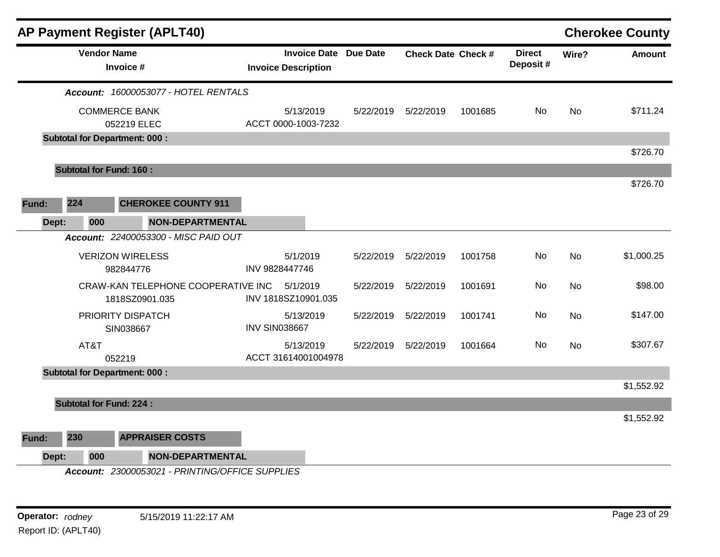|              |                                | <b>AP Payment Register (APLT40)</b>                                         |                      |                                                            |           |                           |         |                           |           | <b>Cherokee County</b> |
|--------------|--------------------------------|-----------------------------------------------------------------------------|----------------------|------------------------------------------------------------|-----------|---------------------------|---------|---------------------------|-----------|------------------------|
|              | <b>Vendor Name</b>             | Invoice #                                                                   |                      | <b>Invoice Date Due Date</b><br><b>Invoice Description</b> |           | <b>Check Date Check #</b> |         | <b>Direct</b><br>Deposit# | Wire?     | <b>Amount</b>          |
|              |                                | Account: 16000053077 - HOTEL RENTALS                                        |                      |                                                            |           |                           |         |                           |           |                        |
|              |                                | <b>COMMERCE BANK</b><br>052219 ELEC<br><b>Subtotal for Department: 000:</b> |                      | 5/13/2019<br>ACCT 0000-1003-7232                           | 5/22/2019 | 5/22/2019                 | 1001685 | No                        | <b>No</b> | \$711.24               |
|              |                                |                                                                             |                      |                                                            |           |                           |         |                           |           | \$726.70               |
|              | <b>Subtotal for Fund: 160:</b> |                                                                             |                      |                                                            |           |                           |         |                           |           |                        |
|              |                                |                                                                             |                      |                                                            |           |                           |         |                           |           | \$726.70               |
| 224<br>Fund: |                                | <b>CHEROKEE COUNTY 911</b>                                                  |                      |                                                            |           |                           |         |                           |           |                        |
| Dept:        | 000                            | <b>NON-DEPARTMENTAL</b>                                                     |                      |                                                            |           |                           |         |                           |           |                        |
|              |                                | Account: 22400053300 - MISC PAID OUT                                        |                      |                                                            |           |                           |         |                           |           |                        |
|              |                                | <b>VERIZON WIRELESS</b><br>982844776                                        | INV 9828447746       | 5/1/2019                                                   | 5/22/2019 | 5/22/2019                 | 1001758 | No.                       | <b>No</b> | \$1,000.25             |
|              |                                | CRAW-KAN TELEPHONE COOPERATIVE INC<br>1818SZ0901.035                        |                      | 5/1/2019<br>INV 1818SZ10901.035                            | 5/22/2019 | 5/22/2019                 | 1001691 | No                        | No        | \$98.00                |
|              |                                | PRIORITY DISPATCH<br>SIN038667                                              | <b>INV SIN038667</b> | 5/13/2019                                                  | 5/22/2019 | 5/22/2019                 | 1001741 | No                        | <b>No</b> | \$147.00               |
|              | AT&T                           | 052219                                                                      |                      | 5/13/2019<br>ACCT 31614001004978                           | 5/22/2019 | 5/22/2019                 | 1001664 | No                        | <b>No</b> | \$307.67               |
|              |                                | <b>Subtotal for Department: 000:</b>                                        |                      |                                                            |           |                           |         |                           |           |                        |
|              |                                |                                                                             |                      |                                                            |           |                           |         |                           |           | \$1,552.92             |
|              | <b>Subtotal for Fund: 224:</b> |                                                                             |                      |                                                            |           |                           |         |                           |           | \$1,552.92             |
| 230<br>Fund: |                                | <b>APPRAISER COSTS</b>                                                      |                      |                                                            |           |                           |         |                           |           |                        |
| Dept:        | 000                            | <b>NON-DEPARTMENTAL</b>                                                     |                      |                                                            |           |                           |         |                           |           |                        |
|              |                                | Account: 23000053021 - PRINTING/OFFICE SUPPLIES                             |                      |                                                            |           |                           |         |                           |           |                        |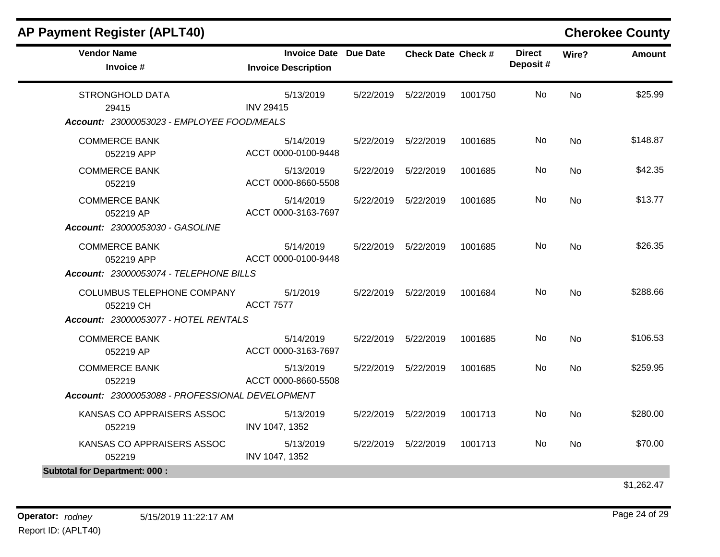| <b>Vendor Name</b><br>Invoice #                 | Invoice Date Due Date<br><b>Invoice Description</b> | <b>Check Date Check #</b> |         | <b>Direct</b><br>Deposit# | Wire?     | <b>Amount</b>     |
|-------------------------------------------------|-----------------------------------------------------|---------------------------|---------|---------------------------|-----------|-------------------|
| <b>STRONGHOLD DATA</b><br>29415                 | 5/13/2019<br><b>INV 29415</b>                       | 5/22/2019    5/22/2019    | 1001750 | No.                       | <b>No</b> | \$25.99           |
| Account: 23000053023 - EMPLOYEE FOOD/MEALS      |                                                     |                           |         |                           |           |                   |
| <b>COMMERCE BANK</b><br>052219 APP              | 5/14/2019<br>ACCT 0000-0100-9448                    | 5/22/2019 5/22/2019       | 1001685 | No                        | <b>No</b> | \$148.87          |
| <b>COMMERCE BANK</b><br>052219                  | 5/13/2019<br>ACCT 0000-8660-5508                    | 5/22/2019    5/22/2019    | 1001685 | No                        | <b>No</b> | \$42.35           |
| <b>COMMERCE BANK</b><br>052219 AP               | 5/14/2019<br>ACCT 0000-3163-7697                    | 5/22/2019    5/22/2019    | 1001685 | No.                       | <b>No</b> | \$13.77           |
| Account: 23000053030 - GASOLINE                 |                                                     |                           |         |                           |           |                   |
| <b>COMMERCE BANK</b><br>052219 APP              | 5/14/2019<br>ACCT 0000-0100-9448                    | 5/22/2019    5/22/2019    | 1001685 | No.                       | <b>No</b> | \$26.35           |
| Account: 23000053074 - TELEPHONE BILLS          |                                                     |                           |         |                           |           |                   |
| COLUMBUS TELEPHONE COMPANY<br>052219 CH         | 5/1/2019<br><b>ACCT 7577</b>                        | 5/22/2019    5/22/2019    | 1001684 | No.                       | <b>No</b> | \$288.66          |
| Account: 23000053077 - HOTEL RENTALS            |                                                     |                           |         |                           |           |                   |
| <b>COMMERCE BANK</b><br>052219 AP               | 5/14/2019<br>ACCT 0000-3163-7697                    | 5/22/2019    5/22/2019    | 1001685 | No                        | <b>No</b> | \$106.53          |
| <b>COMMERCE BANK</b><br>052219                  | 5/13/2019<br>ACCT 0000-8660-5508                    | 5/22/2019    5/22/2019    | 1001685 | No.                       | No.       | \$259.95          |
| Account: 23000053088 - PROFESSIONAL DEVELOPMENT |                                                     |                           |         |                           |           |                   |
| KANSAS CO APPRAISERS ASSOC<br>052219            | 5/13/2019<br>INV 1047, 1352                         | 5/22/2019    5/22/2019    | 1001713 | No.                       | <b>No</b> | \$280.00          |
| KANSAS CO APPRAISERS ASSOC<br>052219            | 5/13/2019<br>INV 1047, 1352                         | 5/22/2019    5/22/2019    | 1001713 | No.                       | <b>No</b> | \$70.00           |
| <b>Subtotal for Department: 000:</b>            |                                                     |                           |         |                           |           |                   |
|                                                 |                                                     |                           |         |                           |           | $A \cup A \cap A$ |

\$1,262.47

### **AP Payment Register (APLT40) Cherokee County**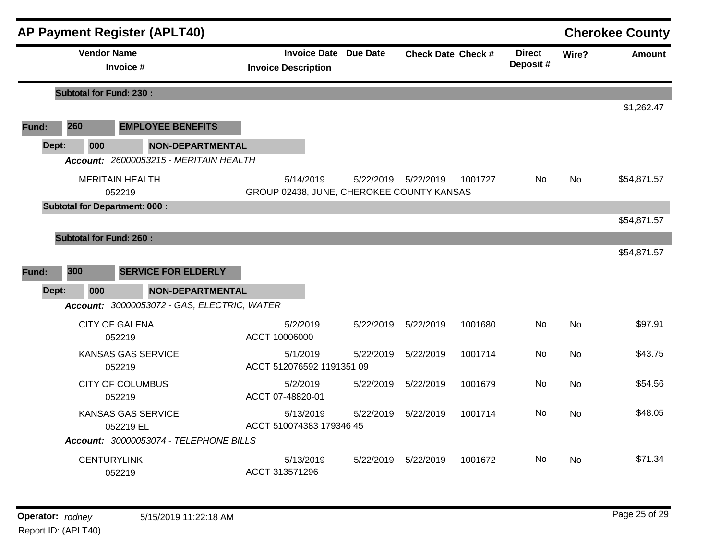|       |                                | <b>AP Payment Register (APLT40)</b>         |                                                            |           |                           |         |                           |           | <b>Cherokee County</b> |
|-------|--------------------------------|---------------------------------------------|------------------------------------------------------------|-----------|---------------------------|---------|---------------------------|-----------|------------------------|
|       | <b>Vendor Name</b>             | Invoice #                                   | <b>Invoice Date Due Date</b><br><b>Invoice Description</b> |           | <b>Check Date Check #</b> |         | <b>Direct</b><br>Deposit# | Wire?     | <b>Amount</b>          |
|       | <b>Subtotal for Fund: 230:</b> |                                             |                                                            |           |                           |         |                           |           |                        |
|       |                                |                                             |                                                            |           |                           |         |                           |           | \$1,262.47             |
| Fund: | 260                            | <b>EMPLOYEE BENEFITS</b>                    |                                                            |           |                           |         |                           |           |                        |
|       | Dept:<br>000                   | <b>NON-DEPARTMENTAL</b>                     |                                                            |           |                           |         |                           |           |                        |
|       |                                | Account: 26000053215 - MERITAIN HEALTH      |                                                            |           |                           |         |                           |           |                        |
|       |                                | <b>MERITAIN HEALTH</b><br>052219            | 5/14/2019<br>GROUP 02438, JUNE, CHEROKEE COUNTY KANSAS     |           | 5/22/2019    5/22/2019    | 1001727 | No.                       | No        | \$54,871.57            |
|       |                                | <b>Subtotal for Department: 000:</b>        |                                                            |           |                           |         |                           |           |                        |
|       |                                |                                             |                                                            |           |                           |         |                           |           | \$54,871.57            |
|       | <b>Subtotal for Fund: 260:</b> |                                             |                                                            |           |                           |         |                           |           |                        |
|       |                                |                                             |                                                            |           |                           |         |                           |           | \$54,871.57            |
| Fund: | 300                            | <b>SERVICE FOR ELDERLY</b>                  |                                                            |           |                           |         |                           |           |                        |
|       | 000<br>Dept:                   | <b>NON-DEPARTMENTAL</b>                     |                                                            |           |                           |         |                           |           |                        |
|       |                                | Account: 30000053072 - GAS, ELECTRIC, WATER |                                                            |           |                           |         |                           |           |                        |
|       |                                | <b>CITY OF GALENA</b><br>052219             | 5/2/2019<br>ACCT 10006000                                  | 5/22/2019 | 5/22/2019                 | 1001680 | No.                       | <b>No</b> | \$97.91                |
|       |                                | <b>KANSAS GAS SERVICE</b><br>052219         | 5/1/2019<br>ACCT 512076592 1191351 09                      | 5/22/2019 | 5/22/2019                 | 1001714 | No.                       | <b>No</b> | \$43.75                |
|       |                                | <b>CITY OF COLUMBUS</b><br>052219           | 5/2/2019<br>ACCT 07-48820-01                               | 5/22/2019 | 5/22/2019                 | 1001679 | No                        | <b>No</b> | \$54.56                |
|       |                                | <b>KANSAS GAS SERVICE</b><br>052219 EL      | 5/13/2019<br>ACCT 510074383 179346 45                      | 5/22/2019 | 5/22/2019                 | 1001714 | No.                       | <b>No</b> | \$48.05                |
|       |                                | Account: 30000053074 - TELEPHONE BILLS      |                                                            |           |                           |         |                           |           |                        |
|       |                                | <b>CENTURYLINK</b><br>052219                | 5/13/2019<br>ACCT 313571296                                | 5/22/2019 | 5/22/2019                 | 1001672 | No.                       | <b>No</b> | \$71.34                |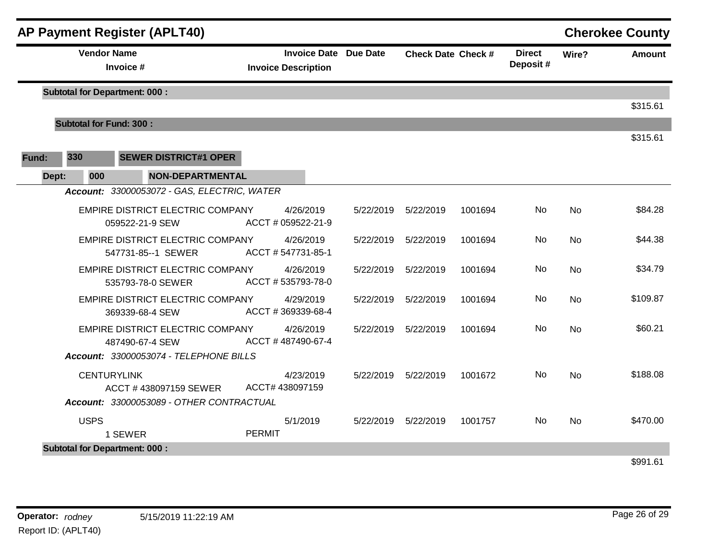|       |              | <b>AP Payment Register (APLT40)</b>                    |                                                            |           |                           |         |                           |           | <b>Cherokee County</b> |
|-------|--------------|--------------------------------------------------------|------------------------------------------------------------|-----------|---------------------------|---------|---------------------------|-----------|------------------------|
|       |              | <b>Vendor Name</b><br>Invoice #                        | <b>Invoice Date Due Date</b><br><b>Invoice Description</b> |           | <b>Check Date Check #</b> |         | <b>Direct</b><br>Deposit# | Wire?     | <b>Amount</b>          |
|       |              | <b>Subtotal for Department: 000:</b>                   |                                                            |           |                           |         |                           |           |                        |
|       |              |                                                        |                                                            |           |                           |         |                           |           | \$315.61               |
|       |              | <b>Subtotal for Fund: 300:</b>                         |                                                            |           |                           |         |                           |           |                        |
| Fund: | 330          | <b>SEWER DISTRICT#1 OPER</b>                           |                                                            |           |                           |         |                           |           | \$315.61               |
|       | 000<br>Dept: | <b>NON-DEPARTMENTAL</b>                                |                                                            |           |                           |         |                           |           |                        |
|       |              | Account: 33000053072 - GAS, ELECTRIC, WATER            |                                                            |           |                           |         |                           |           |                        |
|       |              | EMPIRE DISTRICT ELECTRIC COMPANY<br>059522-21-9 SEW    | 4/26/2019<br>ACCT # 059522-21-9                            | 5/22/2019 | 5/22/2019                 | 1001694 | <b>No</b>                 | <b>No</b> | \$84.28                |
|       |              | EMPIRE DISTRICT ELECTRIC COMPANY<br>547731-85--1 SEWER | 4/26/2019<br>ACCT #547731-85-1                             | 5/22/2019 | 5/22/2019                 | 1001694 | No                        | <b>No</b> | \$44.38                |
|       |              | EMPIRE DISTRICT ELECTRIC COMPANY<br>535793-78-0 SEWER  | 4/26/2019<br>ACCT #535793-78-0                             | 5/22/2019 | 5/22/2019                 | 1001694 | No.                       | No        | \$34.79                |
|       |              | EMPIRE DISTRICT ELECTRIC COMPANY<br>369339-68-4 SEW    | 4/29/2019<br>ACCT #369339-68-4                             | 5/22/2019 | 5/22/2019                 | 1001694 | No                        | <b>No</b> | \$109.87               |
|       |              | EMPIRE DISTRICT ELECTRIC COMPANY<br>487490-67-4 SEW    | 4/26/2019<br>ACCT #487490-67-4                             | 5/22/2019 | 5/22/2019                 | 1001694 | No.                       | <b>No</b> | \$60.21                |
|       |              | Account: 33000053074 - TELEPHONE BILLS                 |                                                            |           |                           |         |                           |           |                        |
|       |              | <b>CENTURYLINK</b><br>ACCT #438097159 SEWER            | 4/23/2019<br>ACCT# 438097159                               | 5/22/2019 | 5/22/2019                 | 1001672 | No.                       | <b>No</b> | \$188.08               |
|       |              | Account: 33000053089 - OTHER CONTRACTUAL               |                                                            |           |                           |         |                           |           |                        |
|       | <b>USPS</b>  | 1 SEWER                                                | 5/1/2019<br><b>PERMIT</b>                                  | 5/22/2019 | 5/22/2019                 | 1001757 | No.                       | <b>No</b> | \$470.00               |
|       |              | <b>Subtotal for Department: 000:</b>                   |                                                            |           |                           |         |                           |           |                        |
|       |              |                                                        |                                                            |           |                           |         |                           |           | \$991.61               |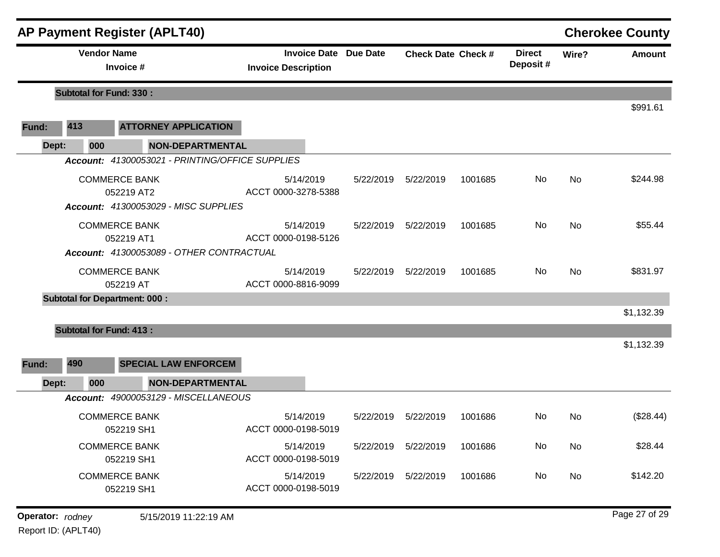|                |                                                                        | <b>AP Payment Register (APLT40)</b>                                               |                                                            |           |                           |         |                           |           | <b>Cherokee County</b> |
|----------------|------------------------------------------------------------------------|-----------------------------------------------------------------------------------|------------------------------------------------------------|-----------|---------------------------|---------|---------------------------|-----------|------------------------|
|                | <b>Vendor Name</b>                                                     | Invoice #                                                                         | <b>Invoice Date Due Date</b><br><b>Invoice Description</b> |           | <b>Check Date Check #</b> |         | <b>Direct</b><br>Deposit# | Wire?     | <b>Amount</b>          |
|                | <b>Subtotal for Fund: 330:</b>                                         |                                                                                   |                                                            |           |                           |         |                           |           |                        |
| Fund:          | 413                                                                    | <b>ATTORNEY APPLICATION</b>                                                       |                                                            |           |                           |         |                           |           | \$991.61               |
| Dept:          | 000                                                                    | <b>NON-DEPARTMENTAL</b>                                                           |                                                            |           |                           |         |                           |           |                        |
|                |                                                                        | Account: 41300053021 - PRINTING/OFFICE SUPPLIES                                   |                                                            |           |                           |         |                           |           |                        |
|                |                                                                        | <b>COMMERCE BANK</b><br>052219 AT2<br><b>Account: 41300053029 - MISC SUPPLIES</b> | 5/14/2019<br>ACCT 0000-3278-5388                           | 5/22/2019 | 5/22/2019                 | 1001685 | No                        | No        | \$244.98               |
|                |                                                                        | <b>COMMERCE BANK</b><br>052219 AT1<br>Account: 41300053089 - OTHER CONTRACTUAL    | 5/14/2019<br>ACCT 0000-0198-5126                           | 5/22/2019 | 5/22/2019                 | 1001685 | No                        | <b>No</b> | \$55.44                |
|                |                                                                        | <b>COMMERCE BANK</b><br>052219 AT                                                 | 5/14/2019<br>ACCT 0000-8816-9099                           | 5/22/2019 | 5/22/2019                 | 1001685 | No                        | <b>No</b> | \$831.97               |
|                | <b>Subtotal for Department: 000:</b><br><b>Subtotal for Fund: 413:</b> |                                                                                   |                                                            |           |                           |         |                           |           | \$1,132.39             |
| Fund:<br>Dept: | 490<br>000                                                             | <b>SPECIAL LAW ENFORCEM</b><br><b>NON-DEPARTMENTAL</b>                            |                                                            |           |                           |         |                           |           | \$1,132.39             |
|                |                                                                        | Account: 49000053129 - MISCELLANEOUS                                              |                                                            |           |                           |         |                           |           |                        |
|                |                                                                        | <b>COMMERCE BANK</b><br>052219 SH1                                                | 5/14/2019<br>ACCT 0000-0198-5019                           | 5/22/2019 | 5/22/2019                 | 1001686 | No.                       | <b>No</b> | (\$28.44)              |
|                |                                                                        | <b>COMMERCE BANK</b><br>052219 SH1                                                | 5/14/2019<br>ACCT 0000-0198-5019                           | 5/22/2019 | 5/22/2019                 | 1001686 | No                        | No        | \$28.44                |
|                |                                                                        | <b>COMMERCE BANK</b><br>052219 SH1                                                | 5/14/2019<br>ACCT 0000-0198-5019                           | 5/22/2019 | 5/22/2019                 | 1001686 | No                        | No        | \$142.20               |
|                | Operator: rodney                                                       | 5/15/2019 11:22:19 AM                                                             |                                                            |           |                           |         |                           |           | Page 27 of 29          |

Report ID: (APLT40)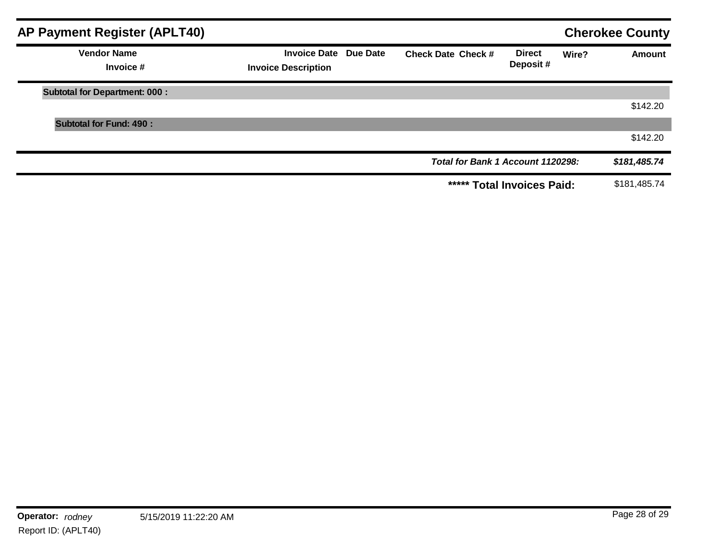| <b>AP Payment Register (APLT40)</b>  |                                                     |                                   |                            |       | <b>Cherokee County</b> |
|--------------------------------------|-----------------------------------------------------|-----------------------------------|----------------------------|-------|------------------------|
| <b>Vendor Name</b><br>Invoice #      | Invoice Date Due Date<br><b>Invoice Description</b> | <b>Check Date Check #</b>         | <b>Direct</b><br>Deposit#  | Wire? | <b>Amount</b>          |
| <b>Subtotal for Department: 000:</b> |                                                     |                                   |                            |       |                        |
|                                      |                                                     |                                   |                            |       | \$142.20               |
| <b>Subtotal for Fund: 490:</b>       |                                                     |                                   |                            |       |                        |
|                                      |                                                     |                                   |                            |       | \$142.20               |
|                                      |                                                     | Total for Bank 1 Account 1120298: |                            |       | \$181,485.74           |
|                                      |                                                     |                                   | ***** Total Invoices Paid: |       | \$181,485.74           |